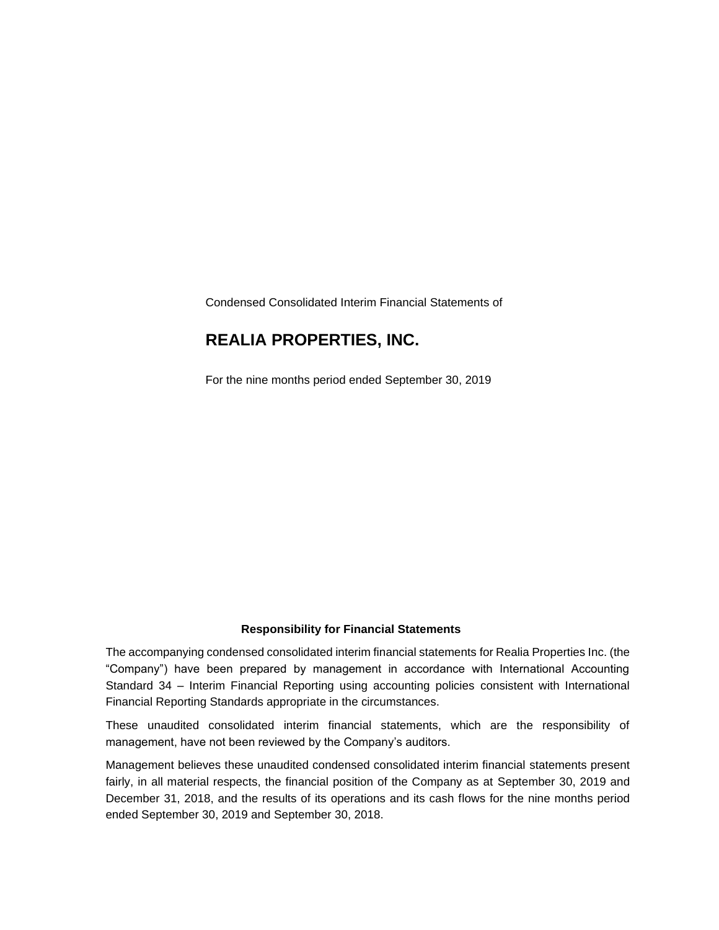Condensed Consolidated Interim Financial Statements of

### **REALIA PROPERTIES, INC.**

For the nine months period ended September 30, 2019

#### **Responsibility for Financial Statements**

The accompanying condensed consolidated interim financial statements for Realia Properties Inc. (the "Company") have been prepared by management in accordance with International Accounting Standard 34 – Interim Financial Reporting using accounting policies consistent with International Financial Reporting Standards appropriate in the circumstances.

These unaudited consolidated interim financial statements, which are the responsibility of management, have not been reviewed by the Company's auditors.

Management believes these unaudited condensed consolidated interim financial statements present fairly, in all material respects, the financial position of the Company as at September 30, 2019 and December 31, 2018, and the results of its operations and its cash flows for the nine months period ended September 30, 2019 and September 30, 2018.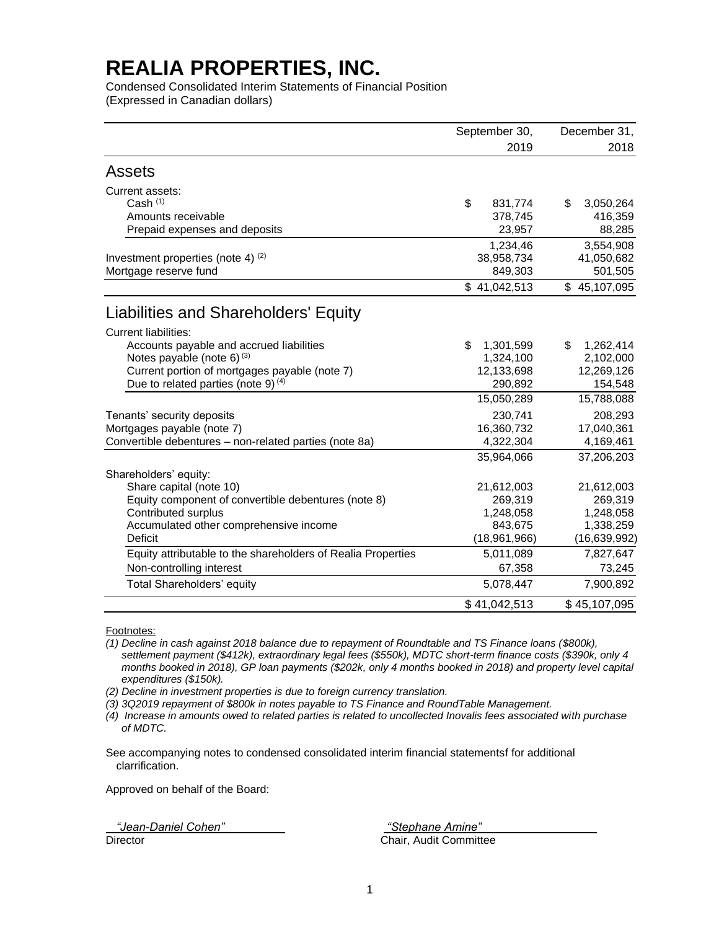Condensed Consolidated Interim Statements of Financial Position (Expressed in Canadian dollars)

|                                                              | September 30,   | December 31,    |  |
|--------------------------------------------------------------|-----------------|-----------------|--|
|                                                              | 2019            | 2018            |  |
| <b>Assets</b>                                                |                 |                 |  |
| Current assets:                                              |                 |                 |  |
| Cash $(1)$                                                   | \$<br>831,774   | 3,050,264<br>\$ |  |
| Amounts receivable                                           | 378,745         | 416,359         |  |
| Prepaid expenses and deposits                                | 23,957          | 88,285          |  |
|                                                              | 1,234,46        | 3,554,908       |  |
| Investment properties (note 4) $(2)$                         | 38,958,734      | 41,050,682      |  |
| Mortgage reserve fund                                        | 849,303         | 501,505         |  |
|                                                              | \$41,042,513    | \$45,107,095    |  |
| Liabilities and Shareholders' Equity                         |                 |                 |  |
| <b>Current liabilities:</b>                                  |                 |                 |  |
| Accounts payable and accrued liabilities                     | \$<br>1,301,599 | 1,262,414<br>\$ |  |
| Notes payable (note 6) $(3)$                                 | 1,324,100       | 2,102,000       |  |
| Current portion of mortgages payable (note 7)                | 12,133,698      | 12,269,126      |  |
| Due to related parties (note 9) $(4)$                        | 290,892         | 154,548         |  |
|                                                              | 15,050,289      | 15,788,088      |  |
| Tenants' security deposits                                   | 230,741         | 208,293         |  |
| Mortgages payable (note 7)                                   | 16,360,732      | 17,040,361      |  |
| Convertible debentures - non-related parties (note 8a)       | 4,322,304       | 4,169,461       |  |
|                                                              | 35,964,066      | 37,206,203      |  |
| Shareholders' equity:                                        |                 |                 |  |
| Share capital (note 10)                                      | 21,612,003      | 21,612,003      |  |
| Equity component of convertible debentures (note 8)          | 269,319         | 269,319         |  |
| Contributed surplus                                          | 1,248,058       | 1,248,058       |  |
| Accumulated other comprehensive income                       | 843,675         | 1,338,259       |  |
| <b>Deficit</b>                                               | (18,961,966)    | (16, 639, 992)  |  |
| Equity attributable to the shareholders of Realia Properties | 5,011,089       | 7,827,647       |  |
| Non-controlling interest                                     | 67,358          | 73,245          |  |
| Total Shareholders' equity                                   | 5,078,447       | 7,900,892       |  |
|                                                              | \$41,042,513    | \$45,107,095    |  |

Footnotes:

*(1) Decline in cash against 2018 balance due to repayment of Roundtable and TS Finance loans (\$800k), settlement payment (\$412k), extraordinary legal fees (\$550k), MDTC short-term finance costs (\$390k, only 4 months booked in 2018), GP loan payments (\$202k, only 4 months booked in 2018) and property level capital expenditures (\$150k).* 

*(2) Decline in investment properties is due to foreign currency translation.* 

*(3) 3Q2019 repayment of \$800k in notes payable to TS Finance and RoundTable Management.*

*(4) Increase in amounts owed to related parties is related to uncollected Inovalis fees associated with purchase of MDTC.*

See accompanying notes to condensed consolidated interim financial statementsf for additional clarrification.

Approved on behalf of the Board:

*"Jean-Daniel Cohen" "Stephane Amine"* Director Chair, Audit Committee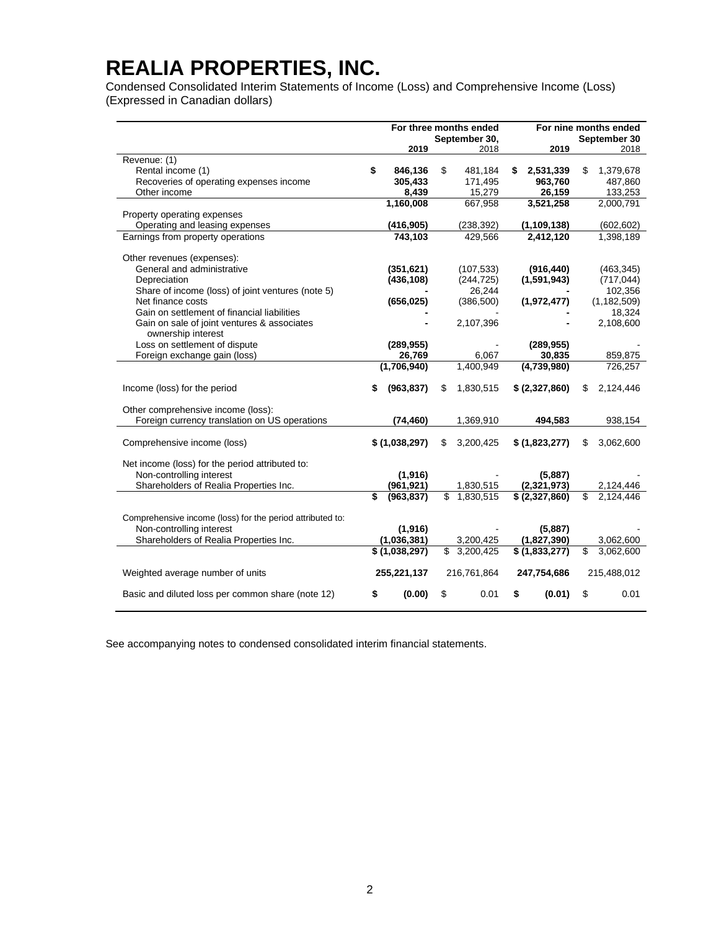Condensed Consolidated Interim Statements of Income (Loss) and Comprehensive Income (Loss) (Expressed in Canadian dollars)

|                                                           |                  | For three months ended    |    |                | For nine months ended |
|-----------------------------------------------------------|------------------|---------------------------|----|----------------|-----------------------|
|                                                           |                  | September 30,             |    |                | September 30          |
|                                                           | 2019             | 2018                      |    | 2019           | 2018                  |
| Revenue: (1)                                              |                  |                           |    |                |                       |
| Rental income (1)                                         | \$<br>846,136    | \$<br>481,184             | S  | 2,531,339      | \$<br>1,379,678       |
| Recoveries of operating expenses income                   | 305,433          | 171,495                   |    | 963,760        | 487,860               |
| Other income                                              | 8.439            | 15,279                    |    | 26.159         | 133,253               |
|                                                           | 1,160,008        | 667,958                   |    | 3,521,258      | 2,000,791             |
| Property operating expenses                               |                  |                           |    |                |                       |
| Operating and leasing expenses                            | (416, 905)       | (238, 392)                |    | (1, 109, 138)  | (602, 602)            |
| Earnings from property operations                         | 743,103          | 429,566                   |    | 2,412,120      | 1,398,189             |
| Other revenues (expenses):                                |                  |                           |    |                |                       |
| General and administrative                                | (351, 621)       | (107, 533)                |    | (916, 440)     | (463, 345)            |
| Depreciation                                              | (436, 108)       | (244, 725)                |    | (1,591,943)    | (717, 044)            |
| Share of income (loss) of joint ventures (note 5)         |                  | 26,244                    |    |                | 102,356               |
| Net finance costs                                         | (656, 025)       | (386, 500)                |    | (1,972,477)    | (1, 182, 509)         |
| Gain on settlement of financial liabilities               |                  |                           |    |                | 18,324                |
| Gain on sale of joint ventures & associates               |                  | 2,107,396                 |    |                | 2,108,600             |
| ownership interest                                        |                  |                           |    |                |                       |
| Loss on settlement of dispute                             | (289, 955)       |                           |    | (289, 955)     |                       |
| Foreign exchange gain (loss)                              | 26,769           | 6.067                     |    | 30.835         | 859,875               |
|                                                           | (1,706,940)      | 1,400,949                 |    | (4,739,980)    | 726,257               |
|                                                           |                  |                           |    |                |                       |
| Income (loss) for the period                              | \$<br>(963, 837) | \$<br>1,830,515           |    | \$ (2,327,860) | \$<br>2,124,446       |
| Other comprehensive income (loss):                        |                  |                           |    |                |                       |
| Foreign currency translation on US operations             | (74, 460)        | 1,369,910                 |    | 494,583        | 938,154               |
|                                                           |                  |                           |    |                |                       |
| Comprehensive income (loss)                               | \$(1,038,297)    | \$<br>3,200,425           |    | \$ (1,823,277) | \$<br>3,062,600       |
|                                                           |                  |                           |    |                |                       |
| Net income (loss) for the period attributed to:           |                  |                           |    |                |                       |
| Non-controlling interest                                  | (1, 916)         |                           |    | (5,887)        |                       |
| Shareholders of Realia Properties Inc.                    | (961, 921)       | 1,830,515                 |    | (2,321,973)    | 2,124,446             |
|                                                           | \$<br>(963, 837) | \$<br>1,830,515           |    | \$ (2,327,860) | \$<br>2,124,446       |
|                                                           |                  |                           |    |                |                       |
| Comprehensive income (loss) for the period attributed to: |                  |                           |    |                |                       |
| Non-controlling interest                                  | (1, 916)         |                           |    | (5,887)        |                       |
| Shareholders of Realia Properties Inc.                    | (1,036,381)      | 3,200,425                 |    | (1,827,390)    | 3,062,600             |
|                                                           | \$(1,038,297)    | $\overline{\$}$ 3,200,425 |    | \$ (1,833,277) | \$<br>3,062,600       |
|                                                           |                  |                           |    |                |                       |
| Weighted average number of units                          | 255,221,137      | 216,761,864               |    | 247,754,686    | 215,488,012           |
| Basic and diluted loss per common share (note 12)         | \$<br>(0.00)     | \$<br>0.01                | \$ | (0.01)         | \$<br>0.01            |

See accompanying notes to condensed consolidated interim financial statements.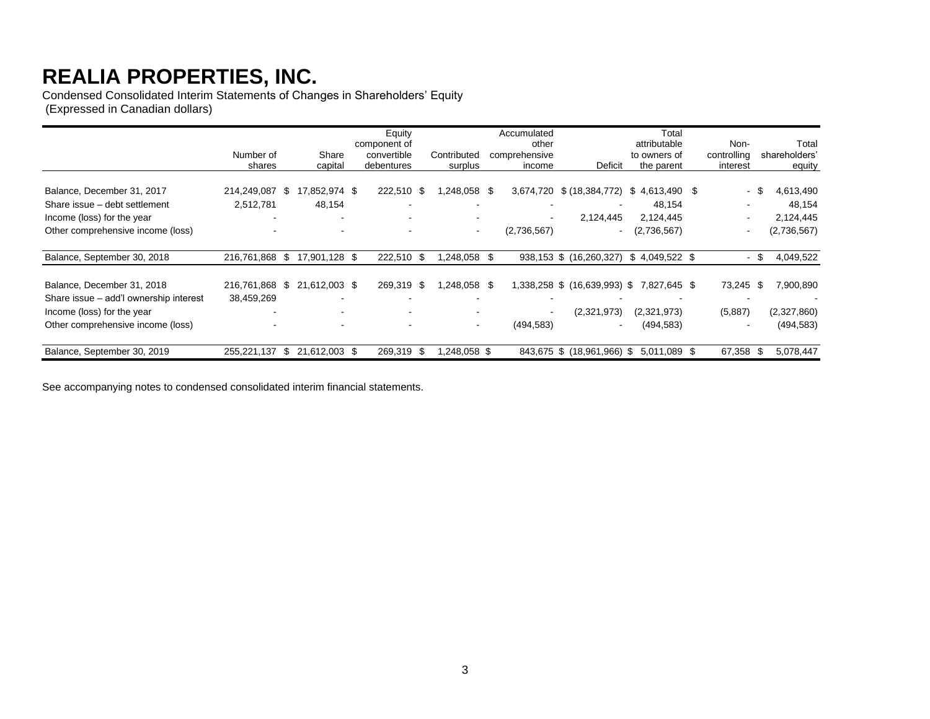Condensed Consolidated Interim Statements of Changes in Shareholders' Equity (Expressed in Canadian dollars)

|                                        | Number of                |      | Share         | Equity<br>component of<br>convertible | Contributed              |      | Accumulated<br>other<br>comprehensive |                                           | Total<br>attributable<br>to owners of | Non-<br>controlling      | Total<br>shareholders' |
|----------------------------------------|--------------------------|------|---------------|---------------------------------------|--------------------------|------|---------------------------------------|-------------------------------------------|---------------------------------------|--------------------------|------------------------|
|                                        | shares                   |      | capital       | debentures                            | surplus                  |      | income                                | Deficit                                   | the parent                            | interest                 | equity                 |
| Balance, December 31, 2017             | 214,249,087              | \$   | 17,852,974 \$ | 222,510 \$                            | 1,248,058 \$             |      | 3,674,720                             | \$ (18, 384, 772)                         | $$4,613,490$ \$                       | \$<br>$\sim$             | 4,613,490              |
| Share issue - debt settlement          | 2,512,781                |      | 48,154        |                                       |                          |      |                                       |                                           | 48,154                                |                          | 48,154                 |
| Income (loss) for the year             |                          |      |               |                                       |                          |      | $\,$                                  | 2,124,445                                 | 2,124,445                             | $\overline{\phantom{a}}$ | 2,124,445              |
| Other comprehensive income (loss)      |                          |      |               |                                       | $\overline{\phantom{a}}$ |      | (2,736,567)                           | $\blacksquare$                            | (2,736,567)                           | $\blacksquare$           | (2,736,567)            |
| Balance, September 30, 2018            | 216,761,868              | \$   | 17,901,128 \$ | 222,510 \$                            | 1,248,058                | - \$ |                                       | 938,153 \$ (16,260,327)                   | $$4,049,522$ \$                       | - \$                     | 4,049,522              |
| Balance, December 31, 2018             | 216,761,868              | \$   | 21,612,003 \$ | 269,319 \$                            | 1,248,058 \$             |      |                                       | 1,338,258 \$ (16,639,993) \$ 7,827,645 \$ |                                       | 73,245 \$                | 7,900,890              |
| Share issue - add'l ownership interest | 38,459,269               |      |               |                                       |                          |      |                                       |                                           |                                       |                          |                        |
| Income (loss) for the year             |                          |      |               | $\overline{\phantom{0}}$              |                          |      | $\sim$                                | (2,321,973)                               | (2,321,973)                           | (5,887)                  | (2,327,860)            |
| Other comprehensive income (loss)      | $\overline{\phantom{a}}$ |      |               | $\overline{\phantom{0}}$              | $\overline{\phantom{a}}$ |      | (494, 583)                            | $\,$ $\,$                                 | (494, 583)                            | $\overline{\phantom{a}}$ | (494, 583)             |
| Balance, September 30, 2019            | 255,221,137              | - \$ | 21,612,003 \$ | 269,319 \$                            | ,248,058 \$              |      |                                       | 843,675 \$ (18,961,966) \$                | 5,011,089 \$                          | 67,358 \$                | 5,078,447              |

See accompanying notes to condensed consolidated interim financial statements.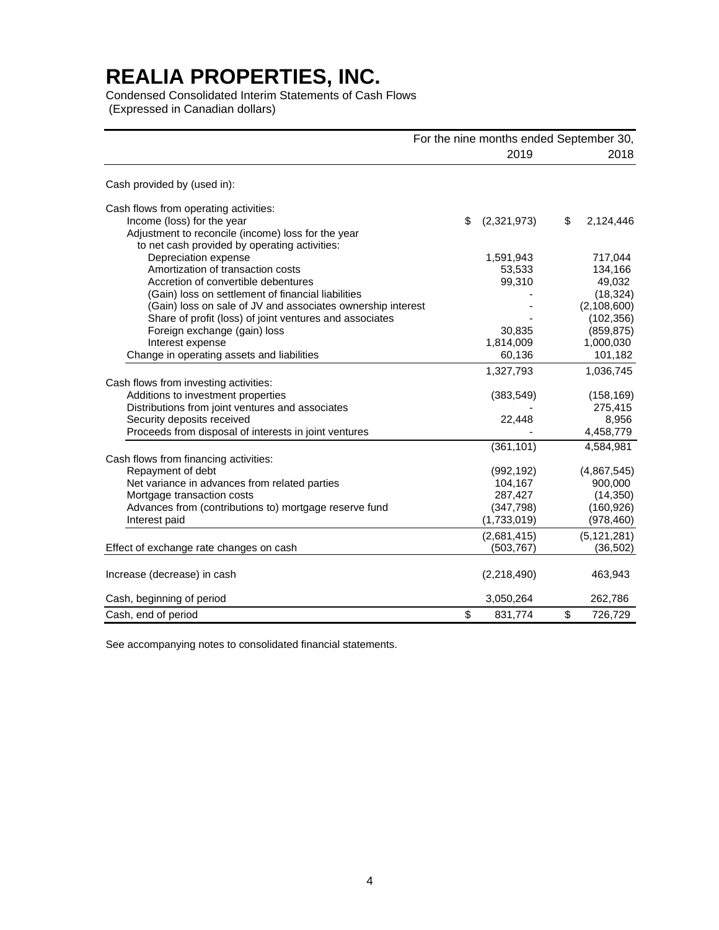Condensed Consolidated Interim Statements of Cash Flows (Expressed in Canadian dollars)

|                                                                                                                        | For the nine months ended September 30, |                           |
|------------------------------------------------------------------------------------------------------------------------|-----------------------------------------|---------------------------|
|                                                                                                                        | 2019                                    | 2018                      |
| Cash provided by (used in):                                                                                            |                                         |                           |
| Cash flows from operating activities:                                                                                  |                                         |                           |
| Income (loss) for the year                                                                                             | (2,321,973)<br>\$                       | \$<br>2,124,446           |
| Adjustment to reconcile (income) loss for the year                                                                     |                                         |                           |
| to net cash provided by operating activities:                                                                          |                                         |                           |
| Depreciation expense                                                                                                   | 1,591,943                               | 717,044                   |
| Amortization of transaction costs                                                                                      | 53,533                                  | 134,166                   |
| Accretion of convertible debentures                                                                                    | 99,310                                  | 49,032                    |
| (Gain) loss on settlement of financial liabilities                                                                     |                                         | (18, 324)                 |
| (Gain) loss on sale of JV and associates ownership interest<br>Share of profit (loss) of joint ventures and associates |                                         | (2,108,600)<br>(102, 356) |
| Foreign exchange (gain) loss                                                                                           | 30,835                                  | (859, 875)                |
| Interest expense                                                                                                       | 1,814,009                               | 1,000,030                 |
| Change in operating assets and liabilities                                                                             | 60,136                                  | 101,182                   |
|                                                                                                                        |                                         |                           |
|                                                                                                                        | 1,327,793                               | 1,036,745                 |
| Cash flows from investing activities:                                                                                  |                                         |                           |
| Additions to investment properties                                                                                     | (383, 549)                              | (158, 169)<br>275,415     |
| Distributions from joint ventures and associates<br>Security deposits received                                         | 22,448                                  | 8,956                     |
| Proceeds from disposal of interests in joint ventures                                                                  |                                         | 4,458,779                 |
|                                                                                                                        |                                         |                           |
|                                                                                                                        | (361, 101)                              | 4,584,981                 |
| Cash flows from financing activities:<br>Repayment of debt                                                             |                                         | (4,867,545)               |
| Net variance in advances from related parties                                                                          | (992, 192)<br>104,167                   | 900,000                   |
| Mortgage transaction costs                                                                                             | 287,427                                 | (14, 350)                 |
| Advances from (contributions to) mortgage reserve fund                                                                 | (347, 798)                              | (160, 926)                |
| Interest paid                                                                                                          | (1,733,019)                             | (978, 460)                |
|                                                                                                                        |                                         |                           |
|                                                                                                                        | (2,681,415)                             | (5, 121, 281)             |
| Effect of exchange rate changes on cash                                                                                | (503, 767)                              | (36, 502)                 |
| Increase (decrease) in cash                                                                                            | (2,218,490)                             | 463,943                   |
|                                                                                                                        |                                         |                           |
| Cash, beginning of period                                                                                              | 3,050,264                               | 262,786                   |
| Cash, end of period                                                                                                    | \$<br>831,774                           | \$<br>726,729             |

See accompanying notes to consolidated financial statements.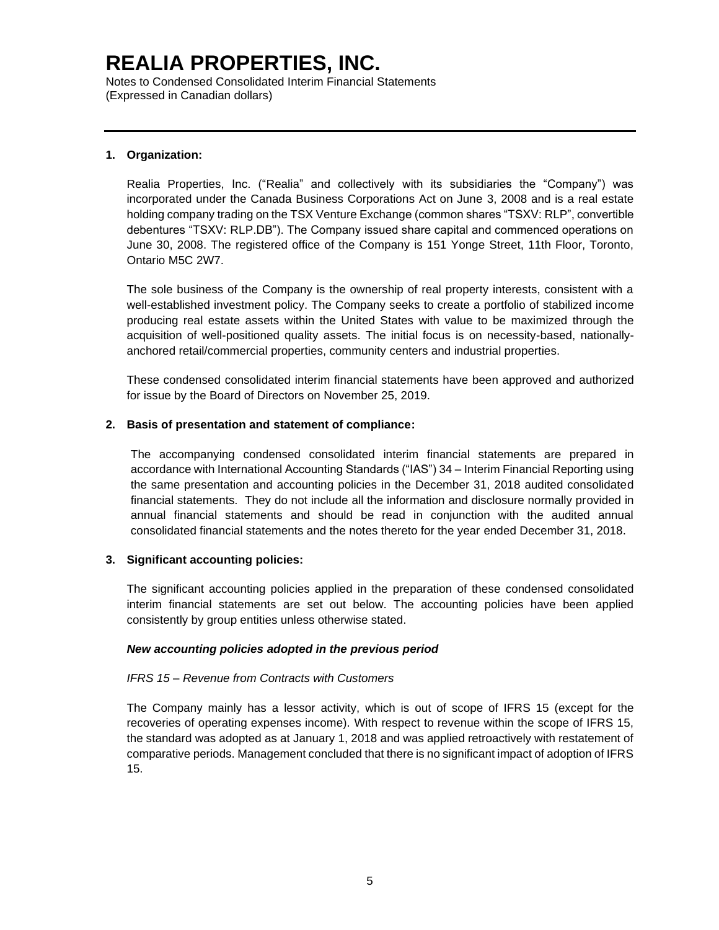Notes to Condensed Consolidated Interim Financial Statements (Expressed in Canadian dollars)

### **1. Organization:**

Realia Properties, Inc. ("Realia" and collectively with its subsidiaries the "Company") was incorporated under the Canada Business Corporations Act on June 3, 2008 and is a real estate holding company trading on the TSX Venture Exchange (common shares "TSXV: RLP", convertible debentures "TSXV: RLP.DB"). The Company issued share capital and commenced operations on June 30, 2008. The registered office of the Company is 151 Yonge Street, 11th Floor, Toronto, Ontario M5C 2W7.

The sole business of the Company is the ownership of real property interests, consistent with a well-established investment policy. The Company seeks to create a portfolio of stabilized income producing real estate assets within the United States with value to be maximized through the acquisition of well-positioned quality assets. The initial focus is on necessity-based, nationallyanchored retail/commercial properties, community centers and industrial properties.

These condensed consolidated interim financial statements have been approved and authorized for issue by the Board of Directors on November 25, 2019.

### **2. Basis of presentation and statement of compliance:**

The accompanying condensed consolidated interim financial statements are prepared in accordance with International Accounting Standards ("IAS") 34 – Interim Financial Reporting using the same presentation and accounting policies in the December 31, 2018 audited consolidated financial statements. They do not include all the information and disclosure normally provided in annual financial statements and should be read in conjunction with the audited annual consolidated financial statements and the notes thereto for the year ended December 31, 2018.

### **3. Significant accounting policies:**

The significant accounting policies applied in the preparation of these condensed consolidated interim financial statements are set out below. The accounting policies have been applied consistently by group entities unless otherwise stated.

### *New accounting policies adopted in the previous period*

### *IFRS 15 – Revenue from Contracts with Customers*

The Company mainly has a lessor activity, which is out of scope of IFRS 15 (except for the recoveries of operating expenses income). With respect to revenue within the scope of IFRS 15, the standard was adopted as at January 1, 2018 and was applied retroactively with restatement of comparative periods. Management concluded that there is no significant impact of adoption of IFRS 15.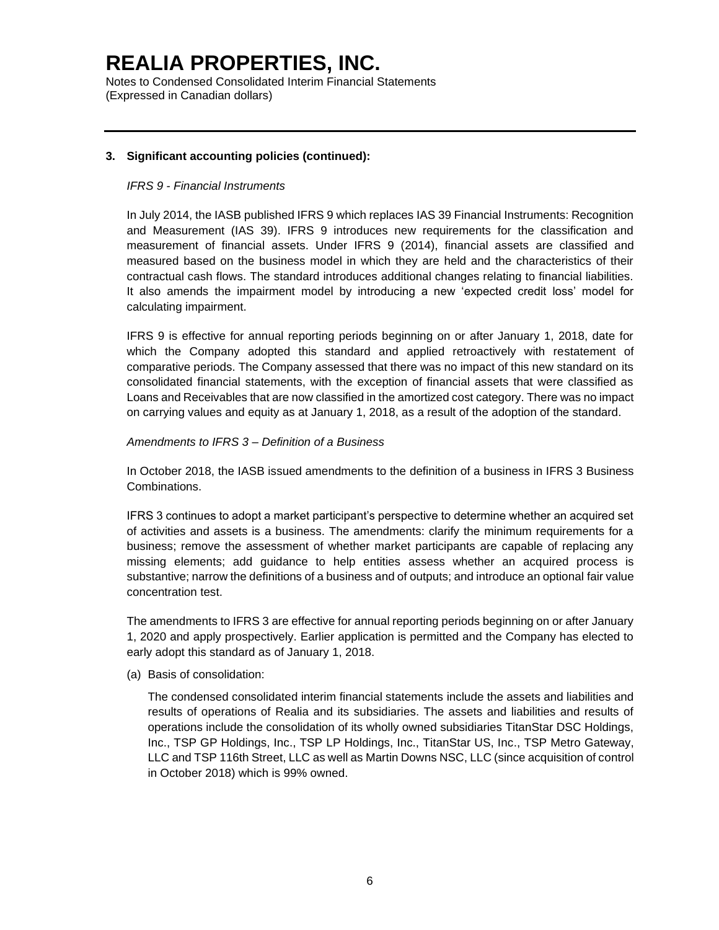Notes to Condensed Consolidated Interim Financial Statements (Expressed in Canadian dollars)

### **3. Significant accounting policies (continued):**

#### *IFRS 9 - Financial Instruments*

In July 2014, the IASB published IFRS 9 which replaces IAS 39 Financial Instruments: Recognition and Measurement (IAS 39). IFRS 9 introduces new requirements for the classification and measurement of financial assets. Under IFRS 9 (2014), financial assets are classified and measured based on the business model in which they are held and the characteristics of their contractual cash flows. The standard introduces additional changes relating to financial liabilities. It also amends the impairment model by introducing a new 'expected credit loss' model for calculating impairment.

IFRS 9 is effective for annual reporting periods beginning on or after January 1, 2018, date for which the Company adopted this standard and applied retroactively with restatement of comparative periods. The Company assessed that there was no impact of this new standard on its consolidated financial statements, with the exception of financial assets that were classified as Loans and Receivables that are now classified in the amortized cost category. There was no impact on carrying values and equity as at January 1, 2018, as a result of the adoption of the standard.

#### *Amendments to IFRS 3 – Definition of a Business*

In October 2018, the IASB issued amendments to the definition of a business in IFRS 3 Business Combinations.

IFRS 3 continues to adopt a market participant's perspective to determine whether an acquired set of activities and assets is a business. The amendments: clarify the minimum requirements for a business; remove the assessment of whether market participants are capable of replacing any missing elements; add guidance to help entities assess whether an acquired process is substantive; narrow the definitions of a business and of outputs; and introduce an optional fair value concentration test.

The amendments to IFRS 3 are effective for annual reporting periods beginning on or after January 1, 2020 and apply prospectively. Earlier application is permitted and the Company has elected to early adopt this standard as of January 1, 2018.

(a) Basis of consolidation:

The condensed consolidated interim financial statements include the assets and liabilities and results of operations of Realia and its subsidiaries. The assets and liabilities and results of operations include the consolidation of its wholly owned subsidiaries TitanStar DSC Holdings, Inc., TSP GP Holdings, Inc., TSP LP Holdings, Inc., TitanStar US, Inc., TSP Metro Gateway, LLC and TSP 116th Street, LLC as well as Martin Downs NSC, LLC (since acquisition of control in October 2018) which is 99% owned.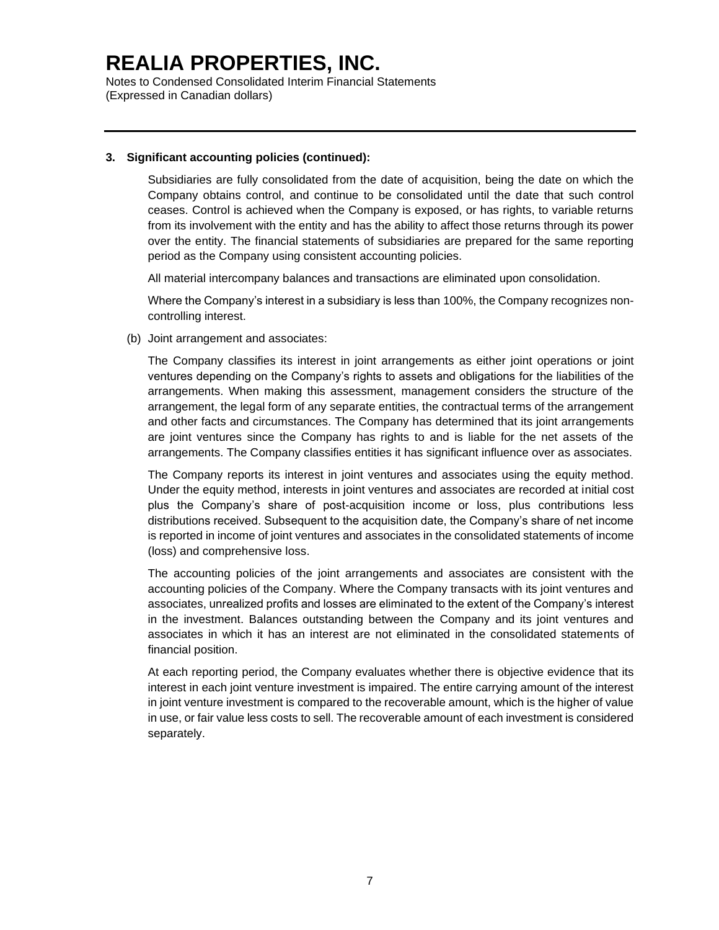Notes to Condensed Consolidated Interim Financial Statements (Expressed in Canadian dollars)

#### **3. Significant accounting policies (continued):**

Subsidiaries are fully consolidated from the date of acquisition, being the date on which the Company obtains control, and continue to be consolidated until the date that such control ceases. Control is achieved when the Company is exposed, or has rights, to variable returns from its involvement with the entity and has the ability to affect those returns through its power over the entity. The financial statements of subsidiaries are prepared for the same reporting period as the Company using consistent accounting policies.

All material intercompany balances and transactions are eliminated upon consolidation.

Where the Company's interest in a subsidiary is less than 100%, the Company recognizes noncontrolling interest.

(b) Joint arrangement and associates:

The Company classifies its interest in joint arrangements as either joint operations or joint ventures depending on the Company's rights to assets and obligations for the liabilities of the arrangements. When making this assessment, management considers the structure of the arrangement, the legal form of any separate entities, the contractual terms of the arrangement and other facts and circumstances. The Company has determined that its joint arrangements are joint ventures since the Company has rights to and is liable for the net assets of the arrangements. The Company classifies entities it has significant influence over as associates.

The Company reports its interest in joint ventures and associates using the equity method. Under the equity method, interests in joint ventures and associates are recorded at initial cost plus the Company's share of post-acquisition income or loss, plus contributions less distributions received. Subsequent to the acquisition date, the Company's share of net income is reported in income of joint ventures and associates in the consolidated statements of income (loss) and comprehensive loss.

The accounting policies of the joint arrangements and associates are consistent with the accounting policies of the Company. Where the Company transacts with its joint ventures and associates, unrealized profits and losses are eliminated to the extent of the Company's interest in the investment. Balances outstanding between the Company and its joint ventures and associates in which it has an interest are not eliminated in the consolidated statements of financial position.

At each reporting period, the Company evaluates whether there is objective evidence that its interest in each joint venture investment is impaired. The entire carrying amount of the interest in joint venture investment is compared to the recoverable amount, which is the higher of value in use, or fair value less costs to sell. The recoverable amount of each investment is considered separately.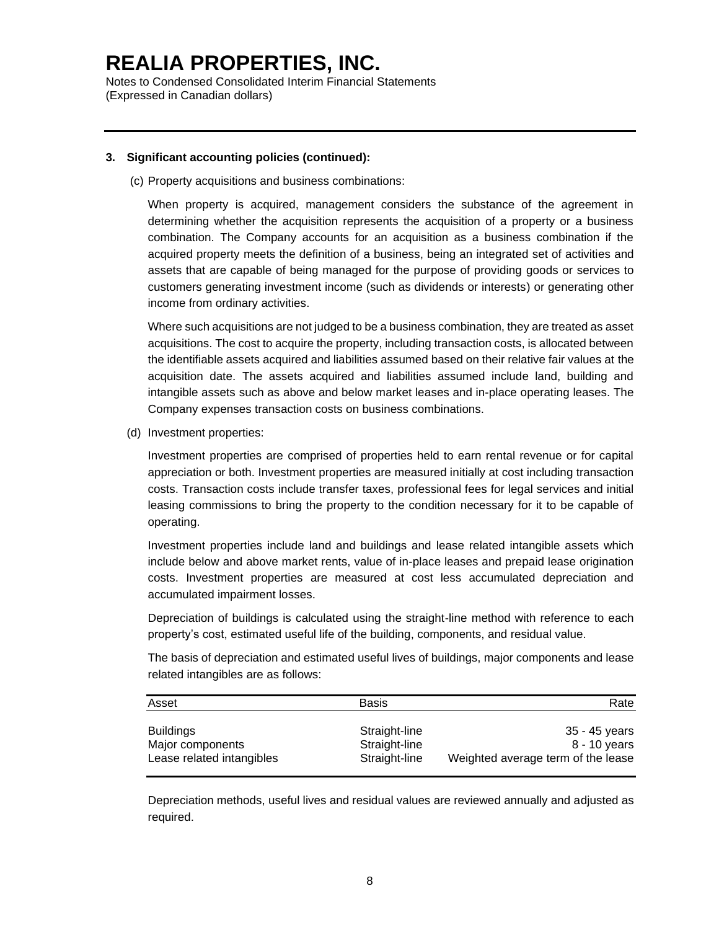Notes to Condensed Consolidated Interim Financial Statements (Expressed in Canadian dollars)

#### **3. Significant accounting policies (continued):**

(c) Property acquisitions and business combinations:

When property is acquired, management considers the substance of the agreement in determining whether the acquisition represents the acquisition of a property or a business combination. The Company accounts for an acquisition as a business combination if the acquired property meets the definition of a business, being an integrated set of activities and assets that are capable of being managed for the purpose of providing goods or services to customers generating investment income (such as dividends or interests) or generating other income from ordinary activities.

Where such acquisitions are not judged to be a business combination, they are treated as asset acquisitions. The cost to acquire the property, including transaction costs, is allocated between the identifiable assets acquired and liabilities assumed based on their relative fair values at the acquisition date. The assets acquired and liabilities assumed include land, building and intangible assets such as above and below market leases and in-place operating leases. The Company expenses transaction costs on business combinations.

(d) Investment properties:

Investment properties are comprised of properties held to earn rental revenue or for capital appreciation or both. Investment properties are measured initially at cost including transaction costs. Transaction costs include transfer taxes, professional fees for legal services and initial leasing commissions to bring the property to the condition necessary for it to be capable of operating.

Investment properties include land and buildings and lease related intangible assets which include below and above market rents, value of in-place leases and prepaid lease origination costs. Investment properties are measured at cost less accumulated depreciation and accumulated impairment losses.

Depreciation of buildings is calculated using the straight-line method with reference to each property's cost, estimated useful life of the building, components, and residual value.

The basis of depreciation and estimated useful lives of buildings, major components and lease related intangibles are as follows:

| Asset                     | <b>Basis</b>  | Rate                               |
|---------------------------|---------------|------------------------------------|
| <b>Buildings</b>          | Straight-line | 35 - 45 vears                      |
| Major components          | Straight-line | 8 - 10 years                       |
| Lease related intangibles | Straight-line | Weighted average term of the lease |

Depreciation methods, useful lives and residual values are reviewed annually and adjusted as required.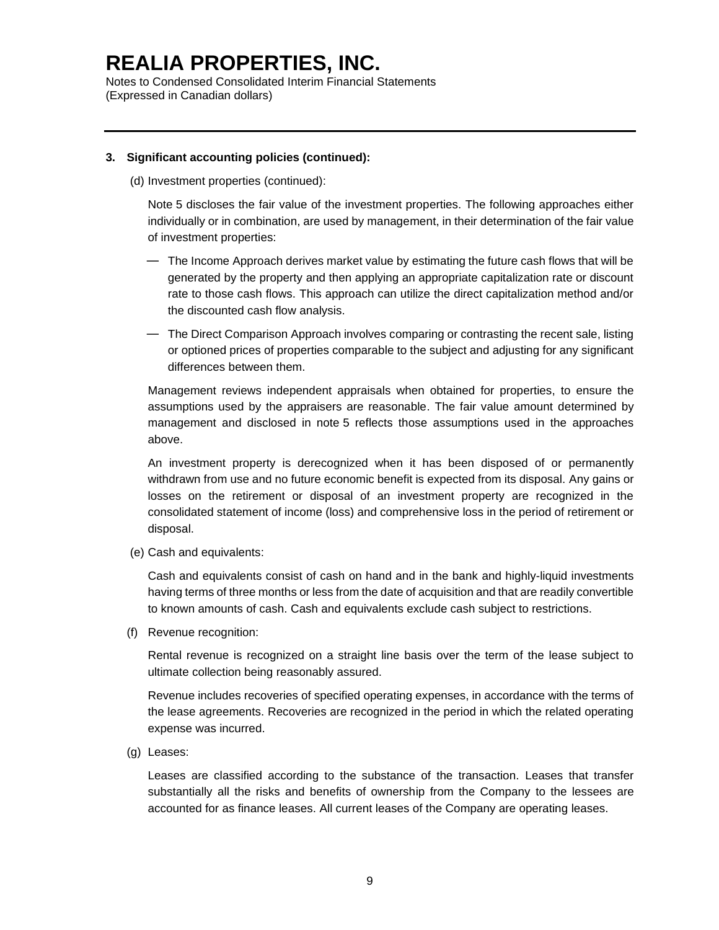Notes to Condensed Consolidated Interim Financial Statements (Expressed in Canadian dollars)

#### **3. Significant accounting policies (continued):**

(d) Investment properties (continued):

Note 5 discloses the fair value of the investment properties. The following approaches either individually or in combination, are used by management, in their determination of the fair value of investment properties:

- ― The Income Approach derives market value by estimating the future cash flows that will be generated by the property and then applying an appropriate capitalization rate or discount rate to those cash flows. This approach can utilize the direct capitalization method and/or the discounted cash flow analysis.
- ― The Direct Comparison Approach involves comparing or contrasting the recent sale, listing or optioned prices of properties comparable to the subject and adjusting for any significant differences between them.

Management reviews independent appraisals when obtained for properties, to ensure the assumptions used by the appraisers are reasonable. The fair value amount determined by management and disclosed in note 5 reflects those assumptions used in the approaches above.

An investment property is derecognized when it has been disposed of or permanently withdrawn from use and no future economic benefit is expected from its disposal. Any gains or losses on the retirement or disposal of an investment property are recognized in the consolidated statement of income (loss) and comprehensive loss in the period of retirement or disposal.

(e) Cash and equivalents:

Cash and equivalents consist of cash on hand and in the bank and highly-liquid investments having terms of three months or less from the date of acquisition and that are readily convertible to known amounts of cash. Cash and equivalents exclude cash subject to restrictions.

(f) Revenue recognition:

Rental revenue is recognized on a straight line basis over the term of the lease subject to ultimate collection being reasonably assured.

Revenue includes recoveries of specified operating expenses, in accordance with the terms of the lease agreements. Recoveries are recognized in the period in which the related operating expense was incurred.

(g) Leases:

Leases are classified according to the substance of the transaction. Leases that transfer substantially all the risks and benefits of ownership from the Company to the lessees are accounted for as finance leases. All current leases of the Company are operating leases.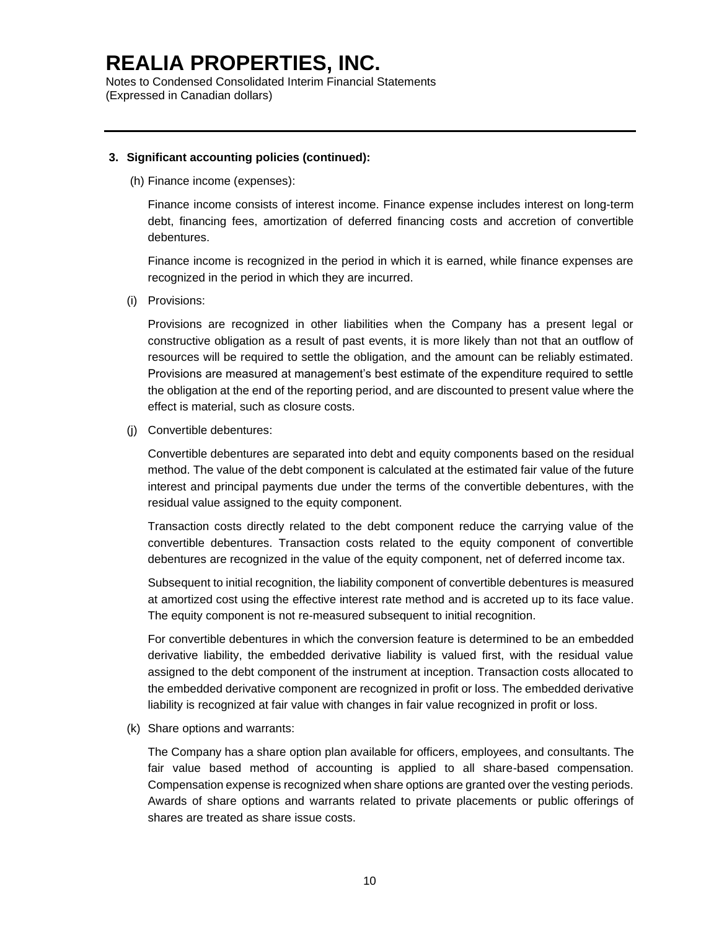Notes to Condensed Consolidated Interim Financial Statements (Expressed in Canadian dollars)

#### **3. Significant accounting policies (continued):**

(h) Finance income (expenses):

Finance income consists of interest income. Finance expense includes interest on long-term debt, financing fees, amortization of deferred financing costs and accretion of convertible debentures.

Finance income is recognized in the period in which it is earned, while finance expenses are recognized in the period in which they are incurred.

(i) Provisions:

Provisions are recognized in other liabilities when the Company has a present legal or constructive obligation as a result of past events, it is more likely than not that an outflow of resources will be required to settle the obligation, and the amount can be reliably estimated. Provisions are measured at management's best estimate of the expenditure required to settle the obligation at the end of the reporting period, and are discounted to present value where the effect is material, such as closure costs.

(j) Convertible debentures:

Convertible debentures are separated into debt and equity components based on the residual method. The value of the debt component is calculated at the estimated fair value of the future interest and principal payments due under the terms of the convertible debentures, with the residual value assigned to the equity component.

Transaction costs directly related to the debt component reduce the carrying value of the convertible debentures. Transaction costs related to the equity component of convertible debentures are recognized in the value of the equity component, net of deferred income tax.

Subsequent to initial recognition, the liability component of convertible debentures is measured at amortized cost using the effective interest rate method and is accreted up to its face value. The equity component is not re-measured subsequent to initial recognition.

For convertible debentures in which the conversion feature is determined to be an embedded derivative liability, the embedded derivative liability is valued first, with the residual value assigned to the debt component of the instrument at inception. Transaction costs allocated to the embedded derivative component are recognized in profit or loss. The embedded derivative liability is recognized at fair value with changes in fair value recognized in profit or loss.

(k) Share options and warrants:

The Company has a share option plan available for officers, employees, and consultants. The fair value based method of accounting is applied to all share-based compensation. Compensation expense is recognized when share options are granted over the vesting periods. Awards of share options and warrants related to private placements or public offerings of shares are treated as share issue costs.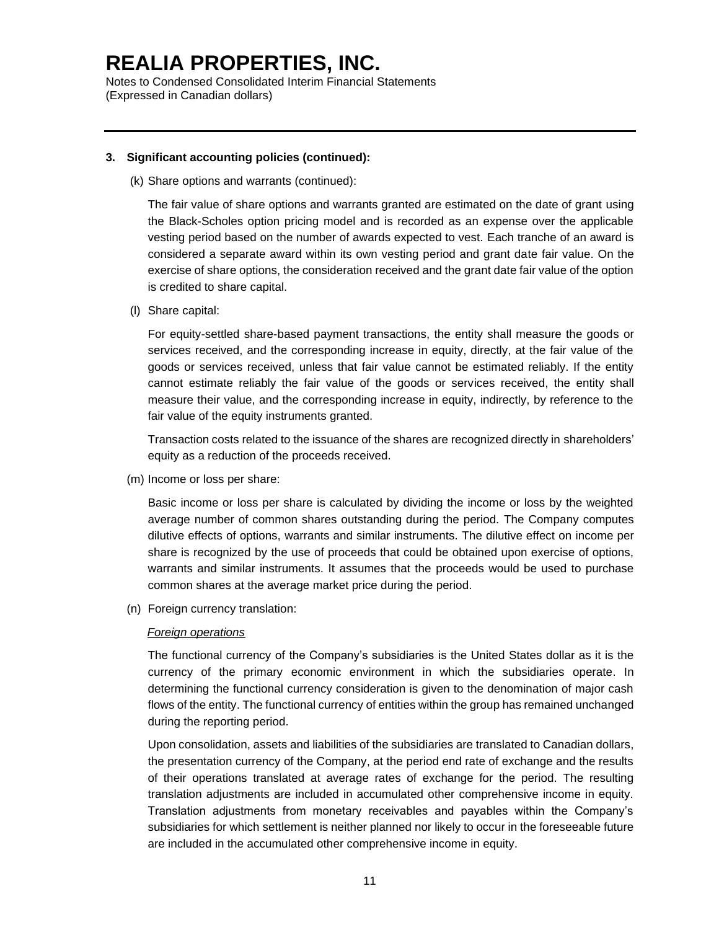Notes to Condensed Consolidated Interim Financial Statements (Expressed in Canadian dollars)

#### **3. Significant accounting policies (continued):**

(k) Share options and warrants (continued):

The fair value of share options and warrants granted are estimated on the date of grant using the Black-Scholes option pricing model and is recorded as an expense over the applicable vesting period based on the number of awards expected to vest. Each tranche of an award is considered a separate award within its own vesting period and grant date fair value. On the exercise of share options, the consideration received and the grant date fair value of the option is credited to share capital.

(l) Share capital:

For equity-settled share-based payment transactions, the entity shall measure the goods or services received, and the corresponding increase in equity, directly, at the fair value of the goods or services received, unless that fair value cannot be estimated reliably. If the entity cannot estimate reliably the fair value of the goods or services received, the entity shall measure their value, and the corresponding increase in equity, indirectly, by reference to the fair value of the equity instruments granted.

Transaction costs related to the issuance of the shares are recognized directly in shareholders' equity as a reduction of the proceeds received.

(m) Income or loss per share:

Basic income or loss per share is calculated by dividing the income or loss by the weighted average number of common shares outstanding during the period. The Company computes dilutive effects of options, warrants and similar instruments. The dilutive effect on income per share is recognized by the use of proceeds that could be obtained upon exercise of options, warrants and similar instruments. It assumes that the proceeds would be used to purchase common shares at the average market price during the period.

(n) Foreign currency translation:

### *Foreign operations*

The functional currency of the Company's subsidiaries is the United States dollar as it is the currency of the primary economic environment in which the subsidiaries operate. In determining the functional currency consideration is given to the denomination of major cash flows of the entity. The functional currency of entities within the group has remained unchanged during the reporting period.

Upon consolidation, assets and liabilities of the subsidiaries are translated to Canadian dollars, the presentation currency of the Company, at the period end rate of exchange and the results of their operations translated at average rates of exchange for the period. The resulting translation adjustments are included in accumulated other comprehensive income in equity. Translation adjustments from monetary receivables and payables within the Company's subsidiaries for which settlement is neither planned nor likely to occur in the foreseeable future are included in the accumulated other comprehensive income in equity.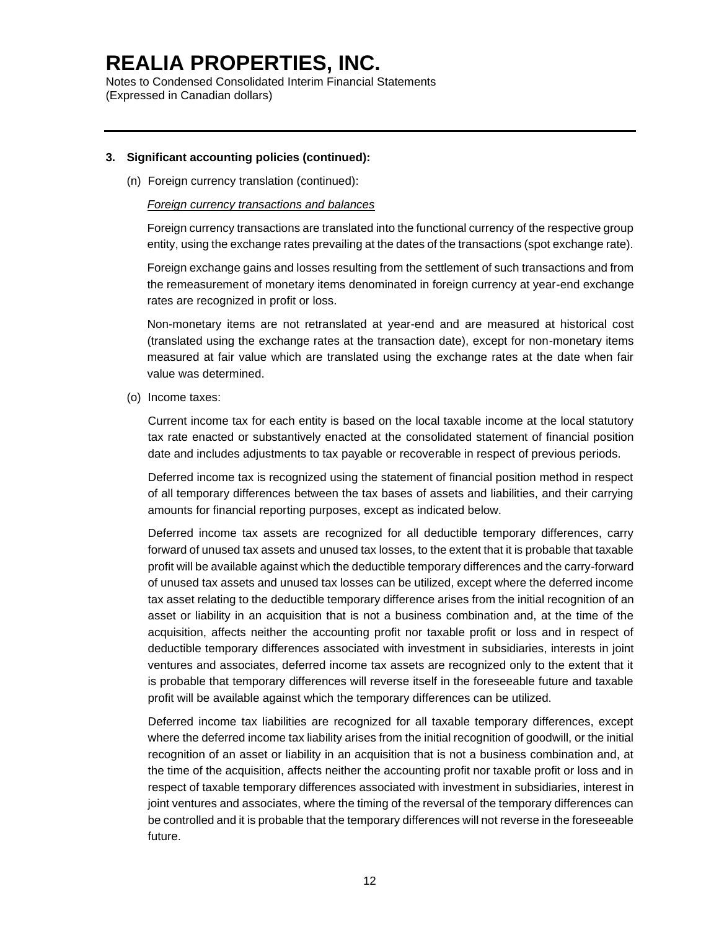Notes to Condensed Consolidated Interim Financial Statements (Expressed in Canadian dollars)

### **3. Significant accounting policies (continued):**

(n) Foreign currency translation (continued):

#### *Foreign currency transactions and balances*

Foreign currency transactions are translated into the functional currency of the respective group entity, using the exchange rates prevailing at the dates of the transactions (spot exchange rate).

Foreign exchange gains and losses resulting from the settlement of such transactions and from the remeasurement of monetary items denominated in foreign currency at year-end exchange rates are recognized in profit or loss.

Non-monetary items are not retranslated at year-end and are measured at historical cost (translated using the exchange rates at the transaction date), except for non-monetary items measured at fair value which are translated using the exchange rates at the date when fair value was determined.

(o) Income taxes:

Current income tax for each entity is based on the local taxable income at the local statutory tax rate enacted or substantively enacted at the consolidated statement of financial position date and includes adjustments to tax payable or recoverable in respect of previous periods.

Deferred income tax is recognized using the statement of financial position method in respect of all temporary differences between the tax bases of assets and liabilities, and their carrying amounts for financial reporting purposes, except as indicated below.

Deferred income tax assets are recognized for all deductible temporary differences, carry forward of unused tax assets and unused tax losses, to the extent that it is probable that taxable profit will be available against which the deductible temporary differences and the carry-forward of unused tax assets and unused tax losses can be utilized, except where the deferred income tax asset relating to the deductible temporary difference arises from the initial recognition of an asset or liability in an acquisition that is not a business combination and, at the time of the acquisition, affects neither the accounting profit nor taxable profit or loss and in respect of deductible temporary differences associated with investment in subsidiaries, interests in joint ventures and associates, deferred income tax assets are recognized only to the extent that it is probable that temporary differences will reverse itself in the foreseeable future and taxable profit will be available against which the temporary differences can be utilized.

Deferred income tax liabilities are recognized for all taxable temporary differences, except where the deferred income tax liability arises from the initial recognition of goodwill, or the initial recognition of an asset or liability in an acquisition that is not a business combination and, at the time of the acquisition, affects neither the accounting profit nor taxable profit or loss and in respect of taxable temporary differences associated with investment in subsidiaries, interest in joint ventures and associates, where the timing of the reversal of the temporary differences can be controlled and it is probable that the temporary differences will not reverse in the foreseeable future.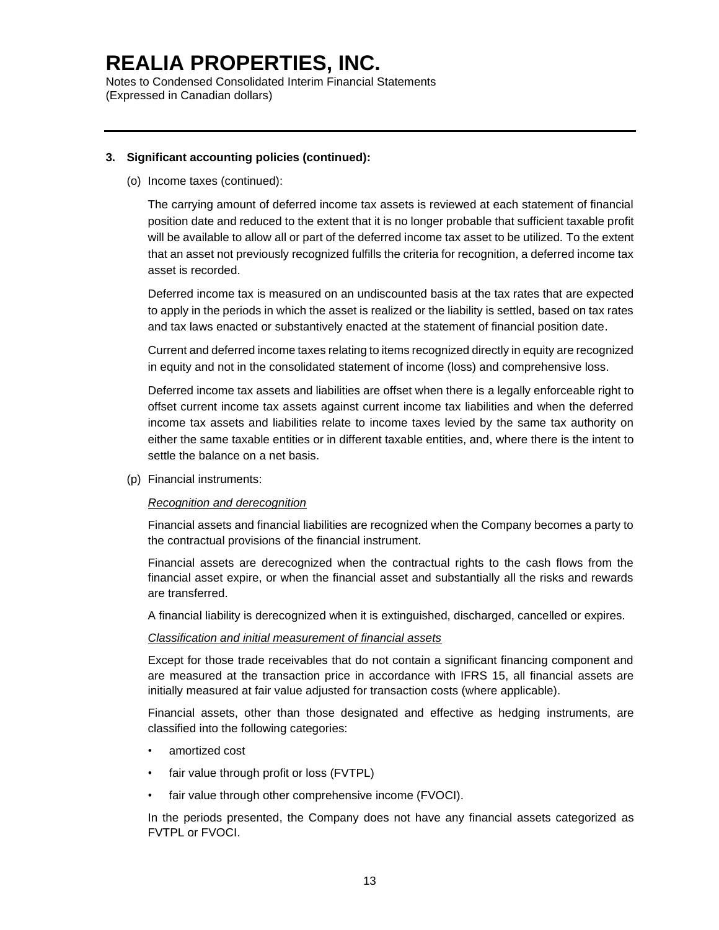Notes to Condensed Consolidated Interim Financial Statements (Expressed in Canadian dollars)

### **3. Significant accounting policies (continued):**

(o) Income taxes (continued):

The carrying amount of deferred income tax assets is reviewed at each statement of financial position date and reduced to the extent that it is no longer probable that sufficient taxable profit will be available to allow all or part of the deferred income tax asset to be utilized. To the extent that an asset not previously recognized fulfills the criteria for recognition, a deferred income tax asset is recorded.

Deferred income tax is measured on an undiscounted basis at the tax rates that are expected to apply in the periods in which the asset is realized or the liability is settled, based on tax rates and tax laws enacted or substantively enacted at the statement of financial position date.

Current and deferred income taxes relating to items recognized directly in equity are recognized in equity and not in the consolidated statement of income (loss) and comprehensive loss.

Deferred income tax assets and liabilities are offset when there is a legally enforceable right to offset current income tax assets against current income tax liabilities and when the deferred income tax assets and liabilities relate to income taxes levied by the same tax authority on either the same taxable entities or in different taxable entities, and, where there is the intent to settle the balance on a net basis.

(p) Financial instruments:

#### *Recognition and derecognition*

Financial assets and financial liabilities are recognized when the Company becomes a party to the contractual provisions of the financial instrument.

Financial assets are derecognized when the contractual rights to the cash flows from the financial asset expire, or when the financial asset and substantially all the risks and rewards are transferred.

A financial liability is derecognized when it is extinguished, discharged, cancelled or expires.

#### *Classification and initial measurement of financial assets*

Except for those trade receivables that do not contain a significant financing component and are measured at the transaction price in accordance with IFRS 15, all financial assets are initially measured at fair value adjusted for transaction costs (where applicable).

Financial assets, other than those designated and effective as hedging instruments, are classified into the following categories:

- amortized cost
- fair value through profit or loss (FVTPL)
- fair value through other comprehensive income (FVOCI).

In the periods presented, the Company does not have any financial assets categorized as FVTPL or FVOCI.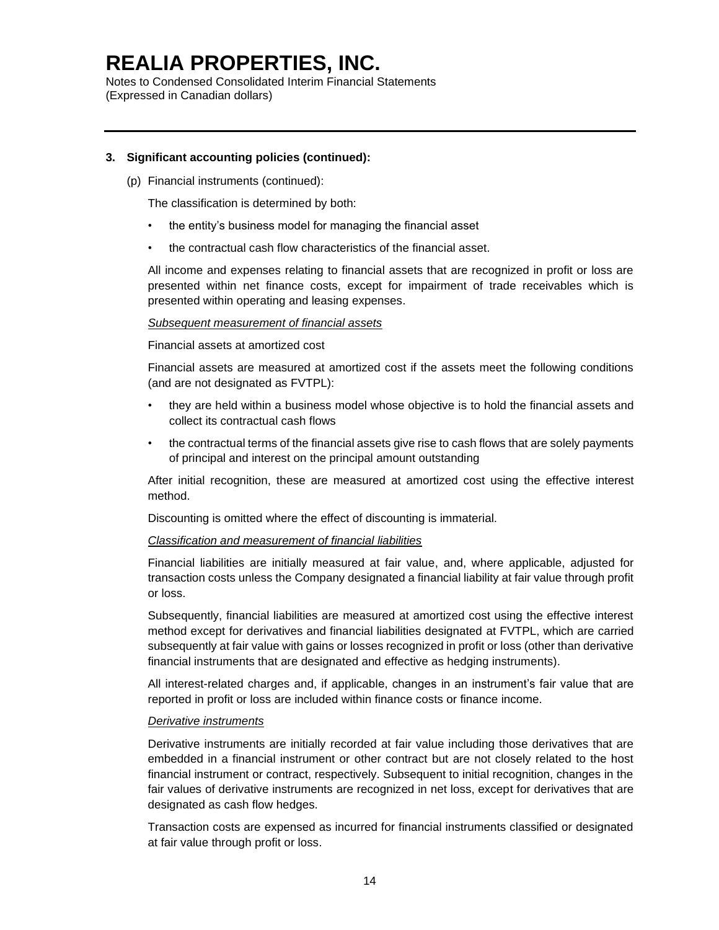Notes to Condensed Consolidated Interim Financial Statements (Expressed in Canadian dollars)

### **3. Significant accounting policies (continued):**

(p) Financial instruments (continued):

The classification is determined by both:

- the entity's business model for managing the financial asset
- the contractual cash flow characteristics of the financial asset.

All income and expenses relating to financial assets that are recognized in profit or loss are presented within net finance costs, except for impairment of trade receivables which is presented within operating and leasing expenses.

#### *Subsequent measurement of financial assets*

#### Financial assets at amortized cost

Financial assets are measured at amortized cost if the assets meet the following conditions (and are not designated as FVTPL):

- they are held within a business model whose objective is to hold the financial assets and collect its contractual cash flows
- the contractual terms of the financial assets give rise to cash flows that are solely payments of principal and interest on the principal amount outstanding

After initial recognition, these are measured at amortized cost using the effective interest method.

Discounting is omitted where the effect of discounting is immaterial.

#### *Classification and measurement of financial liabilities*

Financial liabilities are initially measured at fair value, and, where applicable, adjusted for transaction costs unless the Company designated a financial liability at fair value through profit or loss.

Subsequently, financial liabilities are measured at amortized cost using the effective interest method except for derivatives and financial liabilities designated at FVTPL, which are carried subsequently at fair value with gains or losses recognized in profit or loss (other than derivative financial instruments that are designated and effective as hedging instruments).

All interest-related charges and, if applicable, changes in an instrument's fair value that are reported in profit or loss are included within finance costs or finance income.

#### *Derivative instruments*

Derivative instruments are initially recorded at fair value including those derivatives that are embedded in a financial instrument or other contract but are not closely related to the host financial instrument or contract, respectively. Subsequent to initial recognition, changes in the fair values of derivative instruments are recognized in net loss, except for derivatives that are designated as cash flow hedges.

Transaction costs are expensed as incurred for financial instruments classified or designated at fair value through profit or loss.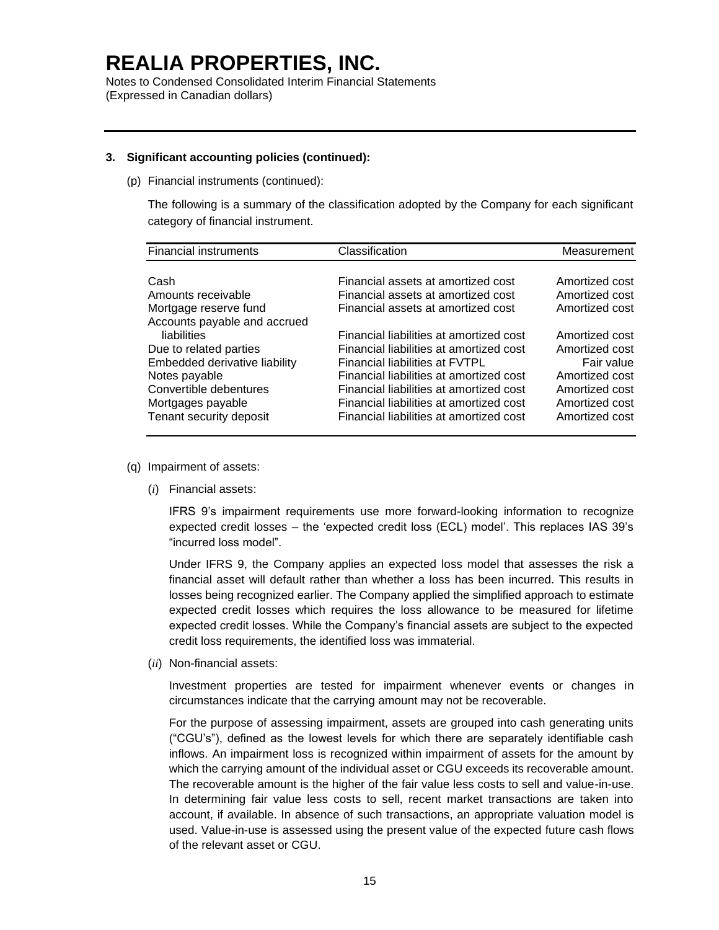Notes to Condensed Consolidated Interim Financial Statements (Expressed in Canadian dollars)

#### **3. Significant accounting policies (continued):**

(p) Financial instruments (continued):

The following is a summary of the classification adopted by the Company for each significant category of financial instrument.

| <b>Financial instruments</b>                                                                                                                                                                      | Classification                                                                                                                                                                                                                                                                                          | Measurement                                                                                                            |
|---------------------------------------------------------------------------------------------------------------------------------------------------------------------------------------------------|---------------------------------------------------------------------------------------------------------------------------------------------------------------------------------------------------------------------------------------------------------------------------------------------------------|------------------------------------------------------------------------------------------------------------------------|
| Cash                                                                                                                                                                                              | Financial assets at amortized cost                                                                                                                                                                                                                                                                      | Amortized cost                                                                                                         |
| Amounts receivable                                                                                                                                                                                | Financial assets at amortized cost                                                                                                                                                                                                                                                                      | Amortized cost                                                                                                         |
| Mortgage reserve fund                                                                                                                                                                             | Financial assets at amortized cost                                                                                                                                                                                                                                                                      | Amortized cost                                                                                                         |
| Accounts payable and accrued<br>liabilities<br>Due to related parties<br>Embedded derivative liability<br>Notes payable<br>Convertible debentures<br>Mortgages payable<br>Tenant security deposit | Financial liabilities at amortized cost<br>Financial liabilities at amortized cost<br><b>Financial liabilities at FVTPL</b><br>Financial liabilities at amortized cost<br>Financial liabilities at amortized cost<br>Financial liabilities at amortized cost<br>Financial liabilities at amortized cost | Amortized cost<br>Amortized cost<br>Fair value<br>Amortized cost<br>Amortized cost<br>Amortized cost<br>Amortized cost |

- (q) Impairment of assets:
	- (*i*) Financial assets:

IFRS 9's impairment requirements use more forward-looking information to recognize expected credit losses – the 'expected credit loss (ECL) model'. This replaces IAS 39's "incurred loss model".

Under IFRS 9, the Company applies an expected loss model that assesses the risk a financial asset will default rather than whether a loss has been incurred. This results in losses being recognized earlier. The Company applied the simplified approach to estimate expected credit losses which requires the loss allowance to be measured for lifetime expected credit losses. While the Company's financial assets are subject to the expected credit loss requirements, the identified loss was immaterial.

(*ii*) Non-financial assets:

Investment properties are tested for impairment whenever events or changes in circumstances indicate that the carrying amount may not be recoverable.

For the purpose of assessing impairment, assets are grouped into cash generating units ("CGU's"), defined as the lowest levels for which there are separately identifiable cash inflows. An impairment loss is recognized within impairment of assets for the amount by which the carrying amount of the individual asset or CGU exceeds its recoverable amount. The recoverable amount is the higher of the fair value less costs to sell and value-in-use. In determining fair value less costs to sell, recent market transactions are taken into account, if available. In absence of such transactions, an appropriate valuation model is used. Value-in-use is assessed using the present value of the expected future cash flows of the relevant asset or CGU.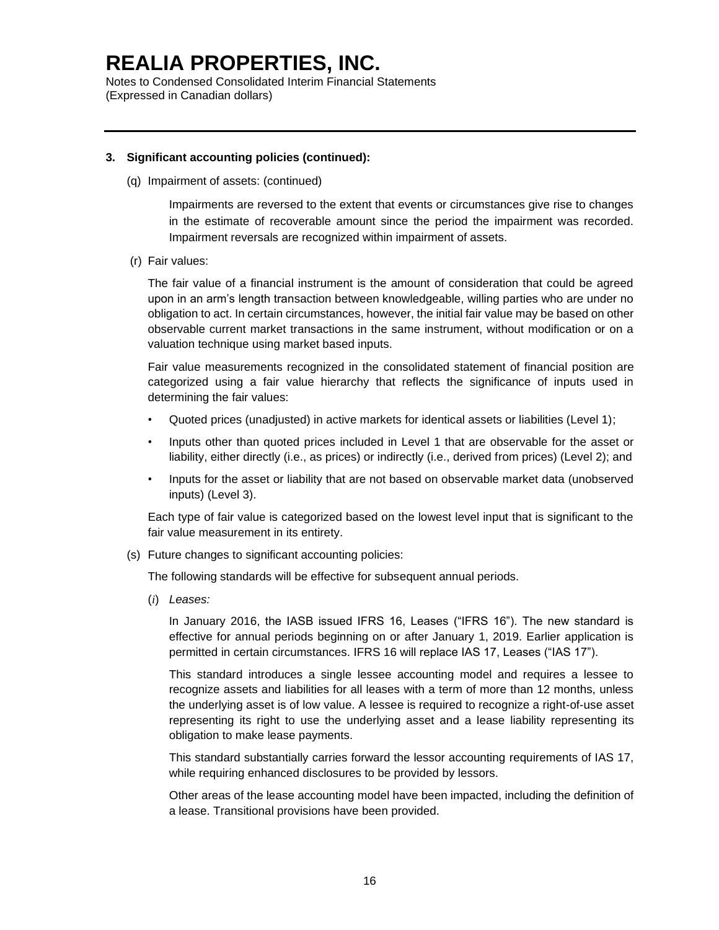Notes to Condensed Consolidated Interim Financial Statements (Expressed in Canadian dollars)

#### **3. Significant accounting policies (continued):**

(q) Impairment of assets: (continued)

Impairments are reversed to the extent that events or circumstances give rise to changes in the estimate of recoverable amount since the period the impairment was recorded. Impairment reversals are recognized within impairment of assets.

(r) Fair values:

The fair value of a financial instrument is the amount of consideration that could be agreed upon in an arm's length transaction between knowledgeable, willing parties who are under no obligation to act. In certain circumstances, however, the initial fair value may be based on other observable current market transactions in the same instrument, without modification or on a valuation technique using market based inputs.

Fair value measurements recognized in the consolidated statement of financial position are categorized using a fair value hierarchy that reflects the significance of inputs used in determining the fair values:

- Quoted prices (unadjusted) in active markets for identical assets or liabilities (Level 1);
- Inputs other than quoted prices included in Level 1 that are observable for the asset or liability, either directly (i.e., as prices) or indirectly (i.e., derived from prices) (Level 2); and
- Inputs for the asset or liability that are not based on observable market data (unobserved inputs) (Level 3).

Each type of fair value is categorized based on the lowest level input that is significant to the fair value measurement in its entirety.

(s) Future changes to significant accounting policies:

The following standards will be effective for subsequent annual periods.

(*i*) *Leases:*

In January 2016, the IASB issued IFRS 16, Leases ("IFRS 16"). The new standard is effective for annual periods beginning on or after January 1, 2019. Earlier application is permitted in certain circumstances. IFRS 16 will replace IAS 17, Leases ("IAS 17").

This standard introduces a single lessee accounting model and requires a lessee to recognize assets and liabilities for all leases with a term of more than 12 months, unless the underlying asset is of low value. A lessee is required to recognize a right-of-use asset representing its right to use the underlying asset and a lease liability representing its obligation to make lease payments.

This standard substantially carries forward the lessor accounting requirements of IAS 17, while requiring enhanced disclosures to be provided by lessors.

Other areas of the lease accounting model have been impacted, including the definition of a lease. Transitional provisions have been provided.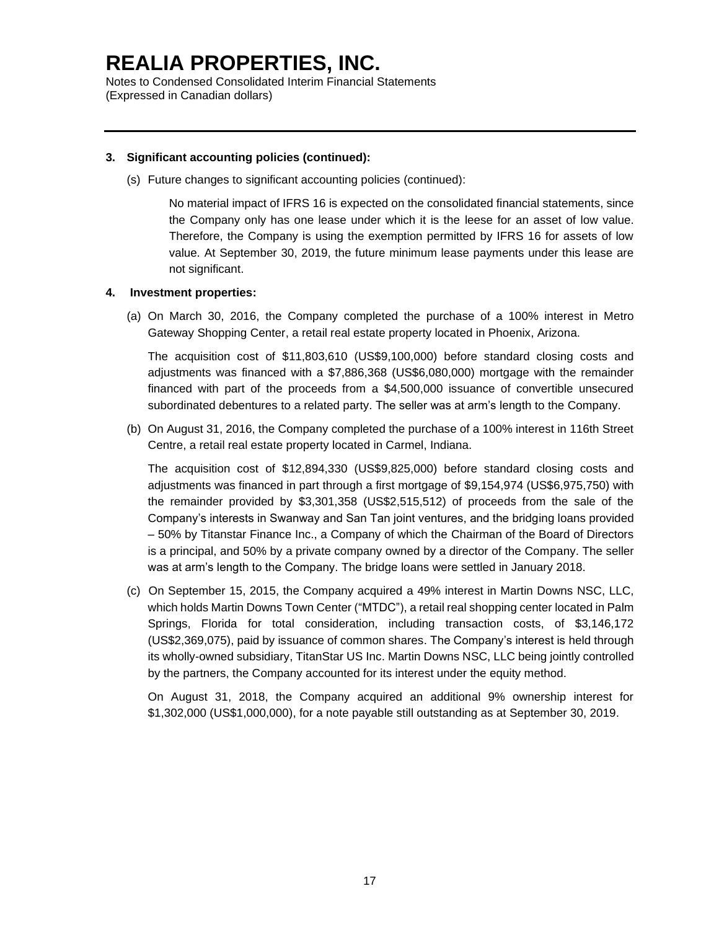Notes to Condensed Consolidated Interim Financial Statements (Expressed in Canadian dollars)

### **3. Significant accounting policies (continued):**

(s) Future changes to significant accounting policies (continued):

No material impact of IFRS 16 is expected on the consolidated financial statements, since the Company only has one lease under which it is the leese for an asset of low value. Therefore, the Company is using the exemption permitted by IFRS 16 for assets of low value. At September 30, 2019, the future minimum lease payments under this lease are not significant.

#### **4. Investment properties:**

(a) On March 30, 2016, the Company completed the purchase of a 100% interest in Metro Gateway Shopping Center, a retail real estate property located in Phoenix, Arizona.

The acquisition cost of \$11,803,610 (US\$9,100,000) before standard closing costs and adjustments was financed with a \$7,886,368 (US\$6,080,000) mortgage with the remainder financed with part of the proceeds from a \$4,500,000 issuance of convertible unsecured subordinated debentures to a related party. The seller was at arm's length to the Company.

(b) On August 31, 2016, the Company completed the purchase of a 100% interest in 116th Street Centre, a retail real estate property located in Carmel, Indiana.

The acquisition cost of \$12,894,330 (US\$9,825,000) before standard closing costs and adjustments was financed in part through a first mortgage of \$9,154,974 (US\$6,975,750) with the remainder provided by \$3,301,358 (US\$2,515,512) of proceeds from the sale of the Company's interests in Swanway and San Tan joint ventures, and the bridging loans provided – 50% by Titanstar Finance Inc., a Company of which the Chairman of the Board of Directors is a principal, and 50% by a private company owned by a director of the Company. The seller was at arm's length to the Company. The bridge loans were settled in January 2018.

(c) On September 15, 2015, the Company acquired a 49% interest in Martin Downs NSC, LLC, which holds Martin Downs Town Center ("MTDC"), a retail real shopping center located in Palm Springs, Florida for total consideration, including transaction costs, of \$3,146,172 (US\$2,369,075), paid by issuance of common shares. The Company's interest is held through its wholly-owned subsidiary, TitanStar US Inc. Martin Downs NSC, LLC being jointly controlled by the partners, the Company accounted for its interest under the equity method.

On August 31, 2018, the Company acquired an additional 9% ownership interest for \$1,302,000 (US\$1,000,000), for a note payable still outstanding as at September 30, 2019.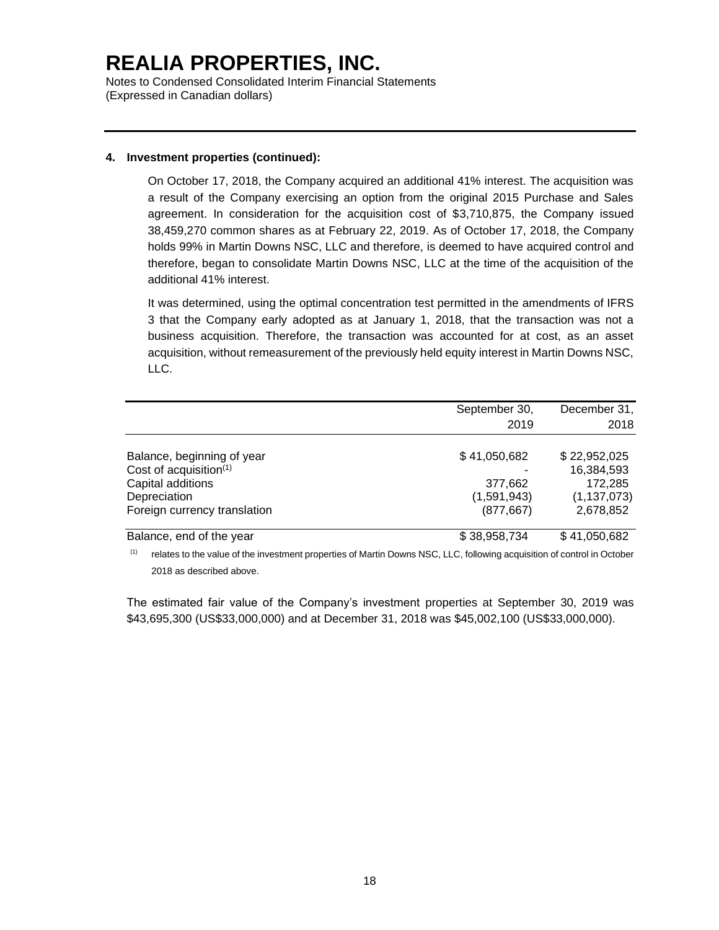Notes to Condensed Consolidated Interim Financial Statements (Expressed in Canadian dollars)

### **4. Investment properties (continued):**

On October 17, 2018, the Company acquired an additional 41% interest. The acquisition was a result of the Company exercising an option from the original 2015 Purchase and Sales agreement. In consideration for the acquisition cost of \$3,710,875, the Company issued 38,459,270 common shares as at February 22, 2019. As of October 17, 2018, the Company holds 99% in Martin Downs NSC, LLC and therefore, is deemed to have acquired control and therefore, began to consolidate Martin Downs NSC, LLC at the time of the acquisition of the additional 41% interest.

It was determined, using the optimal concentration test permitted in the amendments of IFRS 3 that the Company early adopted as at January 1, 2018, that the transaction was not a business acquisition. Therefore, the transaction was accounted for at cost, as an asset acquisition, without remeasurement of the previously held equity interest in Martin Downs NSC, LLC.

|                              | September 30, | December 31,  |
|------------------------------|---------------|---------------|
|                              | 2019          | 2018          |
| Balance, beginning of year   | \$41,050,682  | \$22,952,025  |
| Cost of acquisition(1)       |               | 16,384,593    |
| Capital additions            | 377,662       | 172,285       |
| Depreciation                 | (1,591,943)   | (1, 137, 073) |
| Foreign currency translation | (877, 667)    | 2,678,852     |
| Balance, end of the year     | \$38,958,734  | \$41,050,682  |

(1) relates to the value of the investment properties of Martin Downs NSC, LLC, following acquisition of control in October 2018 as described above.

The estimated fair value of the Company's investment properties at September 30, 2019 was \$43,695,300 (US\$33,000,000) and at December 31, 2018 was \$45,002,100 (US\$33,000,000).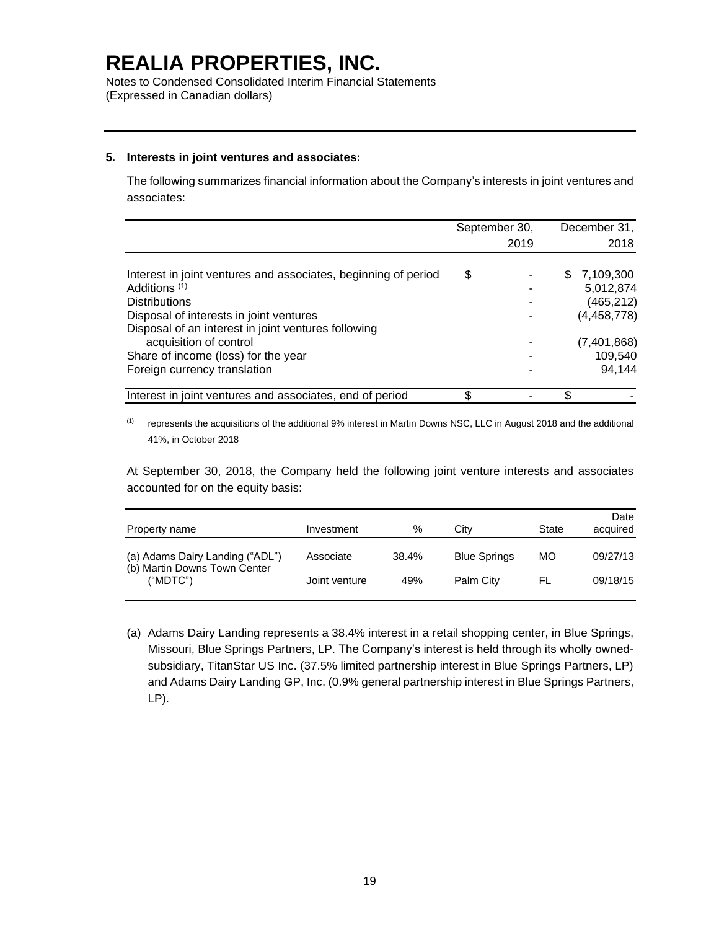Notes to Condensed Consolidated Interim Financial Statements (Expressed in Canadian dollars)

#### **5. Interests in joint ventures and associates:**

The following summarizes financial information about the Company's interests in joint ventures and associates:

|                                                                | September 30, |    | December 31,  |
|----------------------------------------------------------------|---------------|----|---------------|
|                                                                | 2019          |    | 2018          |
| Interest in joint ventures and associates, beginning of period | \$            | S  | 7,109,300     |
| Additions <sup>(1)</sup>                                       |               |    | 5,012,874     |
| <b>Distributions</b>                                           |               |    | (465, 212)    |
| Disposal of interests in joint ventures                        |               |    | (4, 458, 778) |
| Disposal of an interest in joint ventures following            |               |    |               |
| acquisition of control                                         |               |    | (7,401,868)   |
| Share of income (loss) for the year                            |               |    | 109,540       |
| Foreign currency translation                                   |               |    | 94,144        |
| Interest in joint ventures and associates, end of period       |               | \$ |               |

(1) represents the acquisitions of the additional 9% interest in Martin Downs NSC, LLC in August 2018 and the additional 41%, in October 2018

At September 30, 2018, the Company held the following joint venture interests and associates accounted for on the equity basis:

| Property name                                                               | Investment    | %     | City                | State | Date<br>acquired |
|-----------------------------------------------------------------------------|---------------|-------|---------------------|-------|------------------|
| (a) Adams Dairy Landing ("ADL")<br>(b) Martin Downs Town Center<br>("MDTC") | Associate     | 38.4% | <b>Blue Springs</b> | МO    | 09/27/13         |
|                                                                             | Joint venture | 49%   | Palm City           | FL.   | 09/18/15         |

(a) Adams Dairy Landing represents a 38.4% interest in a retail shopping center, in Blue Springs, Missouri, Blue Springs Partners, LP. The Company's interest is held through its wholly ownedsubsidiary, TitanStar US Inc. (37.5% limited partnership interest in Blue Springs Partners, LP) and Adams Dairy Landing GP, Inc. (0.9% general partnership interest in Blue Springs Partners, LP).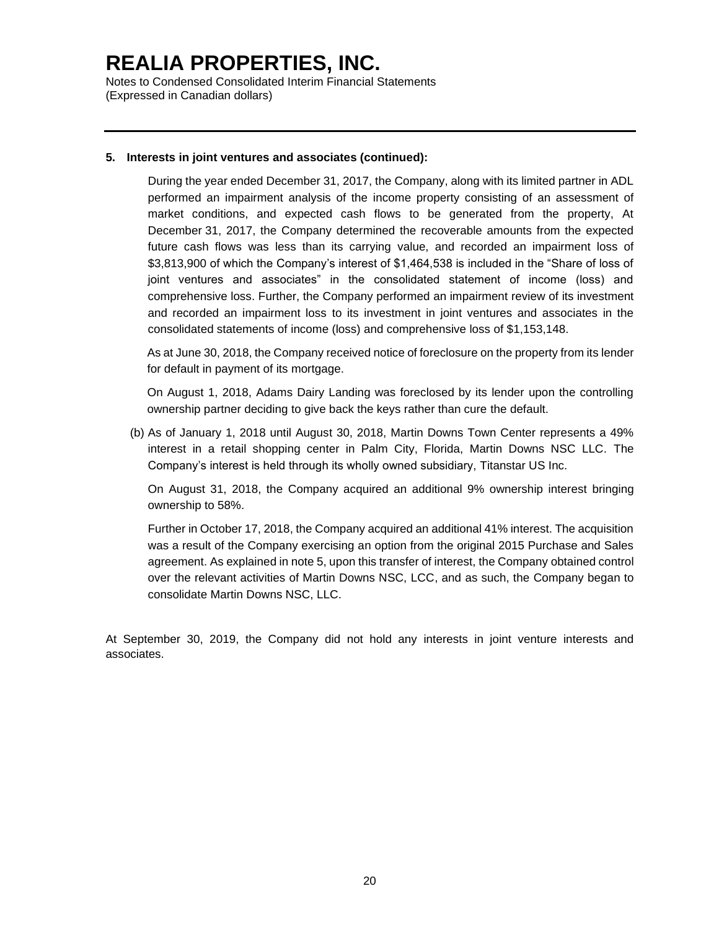Notes to Condensed Consolidated Interim Financial Statements (Expressed in Canadian dollars)

#### **5. Interests in joint ventures and associates (continued):**

During the year ended December 31, 2017, the Company, along with its limited partner in ADL performed an impairment analysis of the income property consisting of an assessment of market conditions, and expected cash flows to be generated from the property, At December 31, 2017, the Company determined the recoverable amounts from the expected future cash flows was less than its carrying value, and recorded an impairment loss of \$3,813,900 of which the Company's interest of \$1,464,538 is included in the "Share of loss of joint ventures and associates" in the consolidated statement of income (loss) and comprehensive loss. Further, the Company performed an impairment review of its investment and recorded an impairment loss to its investment in joint ventures and associates in the consolidated statements of income (loss) and comprehensive loss of \$1,153,148.

As at June 30, 2018, the Company received notice of foreclosure on the property from its lender for default in payment of its mortgage.

On August 1, 2018, Adams Dairy Landing was foreclosed by its lender upon the controlling ownership partner deciding to give back the keys rather than cure the default.

(b) As of January 1, 2018 until August 30, 2018, Martin Downs Town Center represents a 49% interest in a retail shopping center in Palm City, Florida, Martin Downs NSC LLC. The Company's interest is held through its wholly owned subsidiary, Titanstar US Inc.

On August 31, 2018, the Company acquired an additional 9% ownership interest bringing ownership to 58%.

Further in October 17, 2018, the Company acquired an additional 41% interest. The acquisition was a result of the Company exercising an option from the original 2015 Purchase and Sales agreement. As explained in note 5, upon this transfer of interest, the Company obtained control over the relevant activities of Martin Downs NSC, LCC, and as such, the Company began to consolidate Martin Downs NSC, LLC.

At September 30, 2019, the Company did not hold any interests in joint venture interests and associates.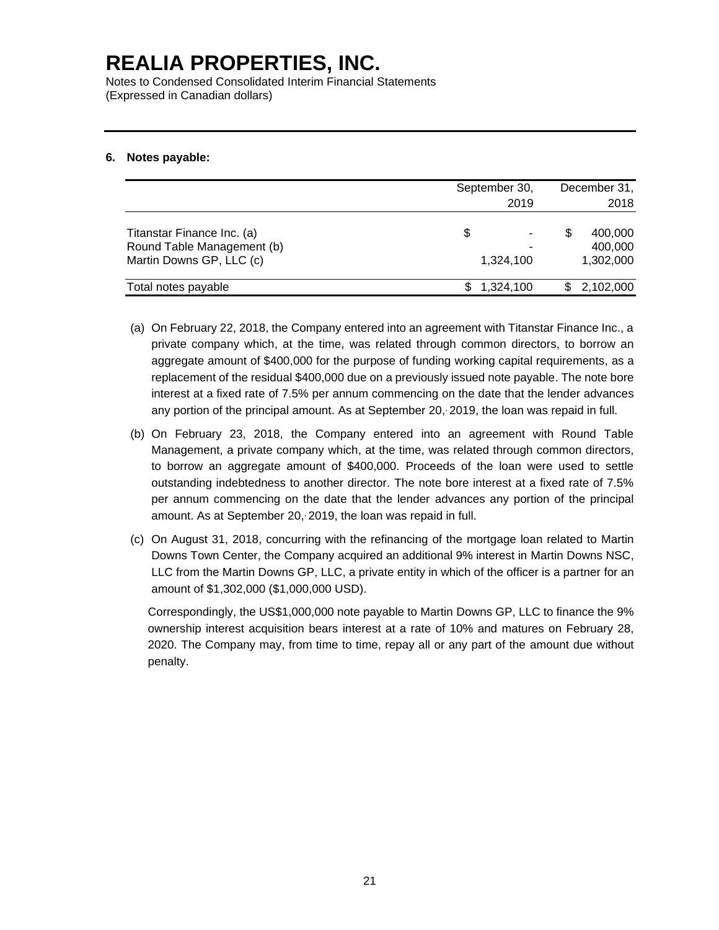Notes to Condensed Consolidated Interim Financial Statements (Expressed in Canadian dollars)

### **6. Notes payable:**

|                                                                                      | September 30,<br>2019 | December 31,<br>2018            |
|--------------------------------------------------------------------------------------|-----------------------|---------------------------------|
| Titanstar Finance Inc. (a)<br>Round Table Management (b)<br>Martin Downs GP, LLC (c) | \$<br>1.324.100       | 400,000<br>400,000<br>1,302,000 |
| Total notes payable                                                                  | 1,324,100             | 2,102,000                       |

- (a) On February 22, 2018, the Company entered into an agreement with Titanstar Finance Inc., a private company which, at the time, was related through common directors, to borrow an aggregate amount of \$400,000 for the purpose of funding working capital requirements, as a replacement of the residual \$400,000 due on a previously issued note payable. The note bore interest at a fixed rate of 7.5% per annum commencing on the date that the lender advances any portion of the principal amount. As at September 20, 2019, the loan was repaid in full.
- (b) On February 23, 2018, the Company entered into an agreement with Round Table Management, a private company which, at the time, was related through common directors, to borrow an aggregate amount of \$400,000. Proceeds of the loan were used to settle outstanding indebtedness to another director. The note bore interest at a fixed rate of 7.5% per annum commencing on the date that the lender advances any portion of the principal amount. As at September 20, 2019, the loan was repaid in full.
- (c) On August 31, 2018, concurring with the refinancing of the mortgage loan related to Martin Downs Town Center, the Company acquired an additional 9% interest in Martin Downs NSC, LLC from the Martin Downs GP, LLC, a private entity in which of the officer is a partner for an amount of \$1,302,000 (\$1,000,000 USD).

Correspondingly, the US\$1,000,000 note payable to Martin Downs GP, LLC to finance the 9% ownership interest acquisition bears interest at a rate of 10% and matures on February 28, 2020. The Company may, from time to time, repay all or any part of the amount due without penalty.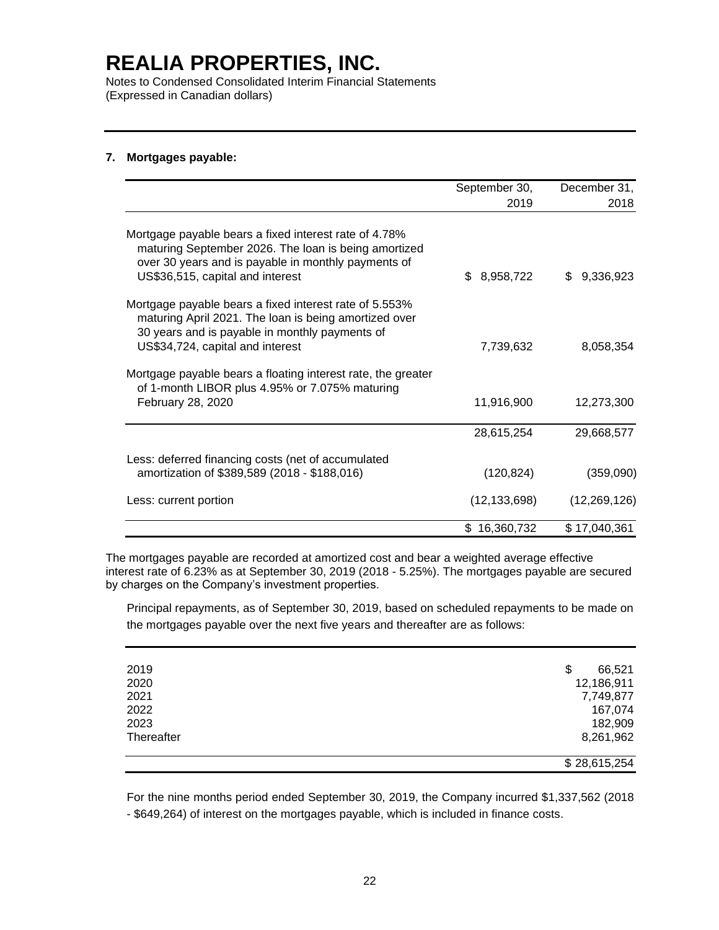Notes to Condensed Consolidated Interim Financial Statements (Expressed in Canadian dollars)

### **7. Mortgages payable:**

|                                                                                                                                                                                                          | September 30,    | December 31,     |
|----------------------------------------------------------------------------------------------------------------------------------------------------------------------------------------------------------|------------------|------------------|
|                                                                                                                                                                                                          | 2019             | 2018             |
| Mortgage payable bears a fixed interest rate of 4.78%<br>maturing September 2026. The loan is being amortized<br>over 30 years and is payable in monthly payments of<br>US\$36,515, capital and interest | 8,958,722<br>\$. | 9,336,923<br>\$. |
| Mortgage payable bears a fixed interest rate of 5.553%<br>maturing April 2021. The loan is being amortized over<br>30 years and is payable in monthly payments of<br>US\$34,724, capital and interest    | 7,739,632        | 8,058,354        |
| Mortgage payable bears a floating interest rate, the greater<br>of 1-month LIBOR plus 4.95% or 7.075% maturing<br>February 28, 2020                                                                      | 11,916,900       | 12,273,300       |
|                                                                                                                                                                                                          | 28,615,254       | 29,668,577       |
| Less: deferred financing costs (net of accumulated<br>amortization of \$389,589 (2018 - \$188,016)                                                                                                       | (120, 824)       | (359,090)        |
| Less: current portion                                                                                                                                                                                    | (12, 133, 698)   | (12, 269, 126)   |
|                                                                                                                                                                                                          | \$16,360,732     | \$17,040,361     |

The mortgages payable are recorded at amortized cost and bear a weighted average effective interest rate of 6.23% as at September 30, 2019 (2018 - 5.25%). The mortgages payable are secured by charges on the Company's investment properties.

Principal repayments, as of September 30, 2019, based on scheduled repayments to be made on the mortgages payable over the next five years and thereafter are as follows:

| 2019       | 66,521<br>\$ |
|------------|--------------|
|            |              |
| 2020       | 12,186,911   |
| 2021       | 7,749,877    |
| 2022       | 167,074      |
| 2023       | 182,909      |
| Thereafter | 8,261,962    |
|            | \$28,615,254 |

For the nine months period ended September 30, 2019, the Company incurred \$1,337,562 (2018 - \$649,264) of interest on the mortgages payable, which is included in finance costs.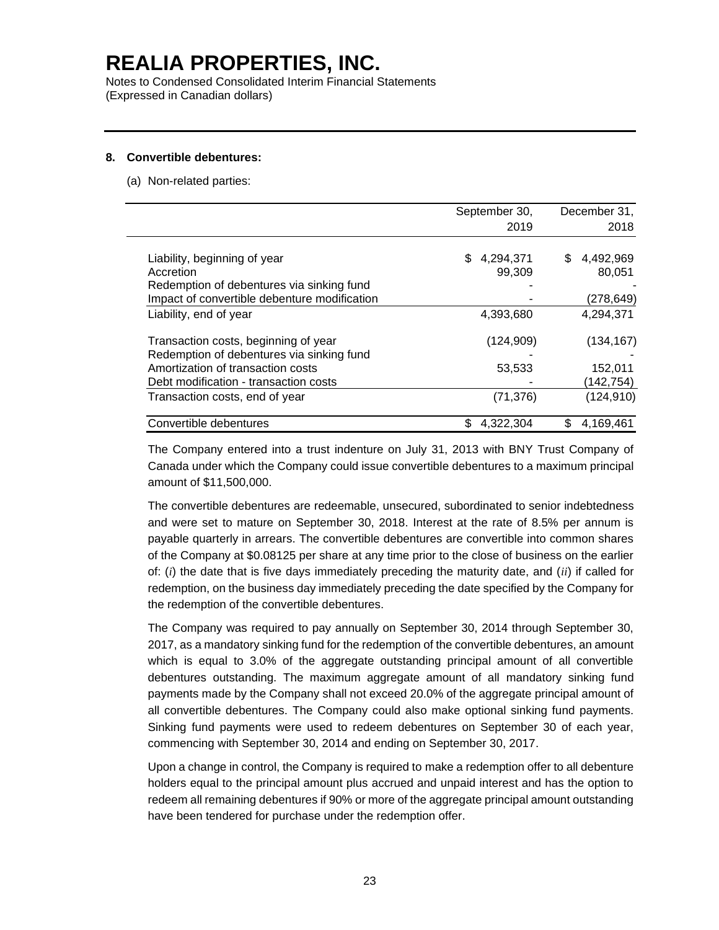Notes to Condensed Consolidated Interim Financial Statements (Expressed in Canadian dollars)

#### **8. Convertible debentures:**

(a) Non-related parties:

|                                                                                           | September 30,             | December 31,              |
|-------------------------------------------------------------------------------------------|---------------------------|---------------------------|
|                                                                                           | 2019                      | 2018                      |
| Liability, beginning of year<br>Accretion                                                 | \$<br>4,294,371<br>99,309 | \$<br>4,492,969<br>80.051 |
| Redemption of debentures via sinking fund<br>Impact of convertible debenture modification |                           | (278, 649)                |
| Liability, end of year                                                                    | 4,393,680                 | 4,294,371                 |
| Transaction costs, beginning of year<br>Redemption of debentures via sinking fund         | (124, 909)                | (134, 167)                |
| Amortization of transaction costs<br>Debt modification - transaction costs                | 53,533                    | 152,011<br>(142,754)      |
| Transaction costs, end of year                                                            | (71, 376)                 | (124, 910)                |
| Convertible debentures                                                                    | \$<br>4,322,304           | \$<br>4,169,461           |

The Company entered into a trust indenture on July 31, 2013 with BNY Trust Company of Canada under which the Company could issue convertible debentures to a maximum principal amount of \$11,500,000.

The convertible debentures are redeemable, unsecured, subordinated to senior indebtedness and were set to mature on September 30, 2018. Interest at the rate of 8.5% per annum is payable quarterly in arrears. The convertible debentures are convertible into common shares of the Company at \$0.08125 per share at any time prior to the close of business on the earlier of: (*i*) the date that is five days immediately preceding the maturity date, and (*ii*) if called for redemption, on the business day immediately preceding the date specified by the Company for the redemption of the convertible debentures.

The Company was required to pay annually on September 30, 2014 through September 30, 2017, as a mandatory sinking fund for the redemption of the convertible debentures, an amount which is equal to 3.0% of the aggregate outstanding principal amount of all convertible debentures outstanding. The maximum aggregate amount of all mandatory sinking fund payments made by the Company shall not exceed 20.0% of the aggregate principal amount of all convertible debentures. The Company could also make optional sinking fund payments. Sinking fund payments were used to redeem debentures on September 30 of each year, commencing with September 30, 2014 and ending on September 30, 2017.

Upon a change in control, the Company is required to make a redemption offer to all debenture holders equal to the principal amount plus accrued and unpaid interest and has the option to redeem all remaining debentures if 90% or more of the aggregate principal amount outstanding have been tendered for purchase under the redemption offer.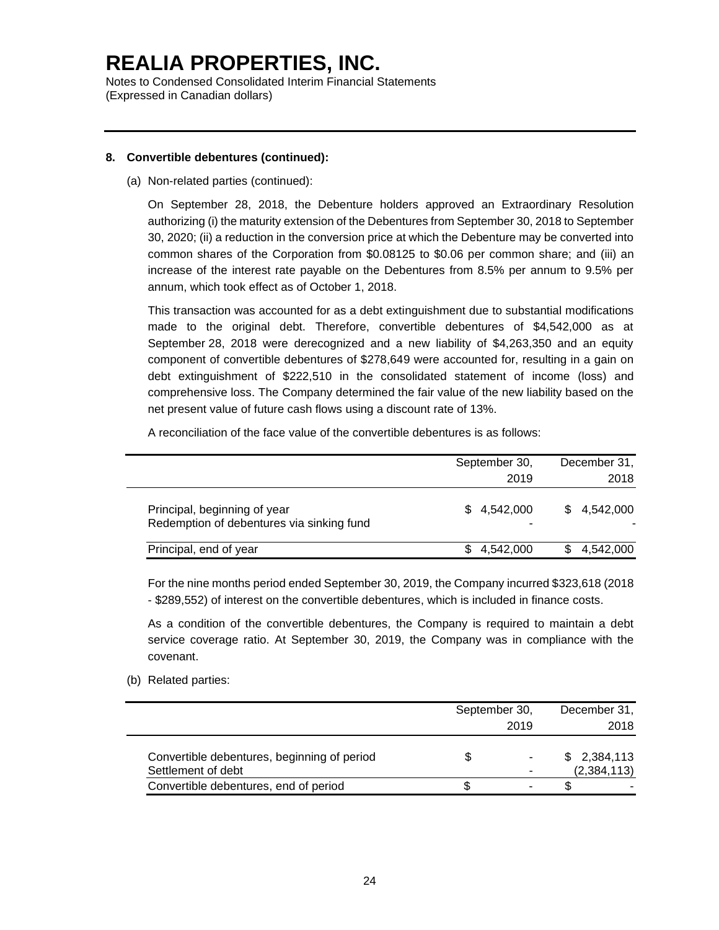Notes to Condensed Consolidated Interim Financial Statements (Expressed in Canadian dollars)

### **8. Convertible debentures (continued):**

(a) Non-related parties (continued):

On September 28, 2018, the Debenture holders approved an Extraordinary Resolution authorizing (i) the maturity extension of the Debentures from September 30, 2018 to September 30, 2020; (ii) a reduction in the conversion price at which the Debenture may be converted into common shares of the Corporation from \$0.08125 to \$0.06 per common share; and (iii) an increase of the interest rate payable on the Debentures from 8.5% per annum to 9.5% per annum, which took effect as of October 1, 2018.

This transaction was accounted for as a debt extinguishment due to substantial modifications made to the original debt. Therefore, convertible debentures of \$4,542,000 as at September 28, 2018 were derecognized and a new liability of \$4,263,350 and an equity component of convertible debentures of \$278,649 were accounted for, resulting in a gain on debt extinguishment of \$222,510 in the consolidated statement of income (loss) and comprehensive loss. The Company determined the fair value of the new liability based on the net present value of future cash flows using a discount rate of 13%.

A reconciliation of the face value of the convertible debentures is as follows:

|                                                                           | September 30,<br>2019 | December 31,<br>2018 |
|---------------------------------------------------------------------------|-----------------------|----------------------|
| Principal, beginning of year<br>Redemption of debentures via sinking fund | \$4,542,000           | \$4,542,000          |
| Principal, end of year                                                    | \$4,542,000           | 4,542,000            |

For the nine months period ended September 30, 2019, the Company incurred \$323,618 (2018 - \$289,552) of interest on the convertible debentures, which is included in finance costs.

As a condition of the convertible debentures, the Company is required to maintain a debt service coverage ratio. At September 30, 2019, the Company was in compliance with the covenant.

(b) Related parties:

|                                                                   |   | September 30, |  | December 31,               |
|-------------------------------------------------------------------|---|---------------|--|----------------------------|
|                                                                   |   | 2019          |  | 2018                       |
| Convertible debentures, beginning of period<br>Settlement of debt | S |               |  | \$2,384,113<br>(2,384,113) |
| Convertible debentures, end of period                             |   |               |  |                            |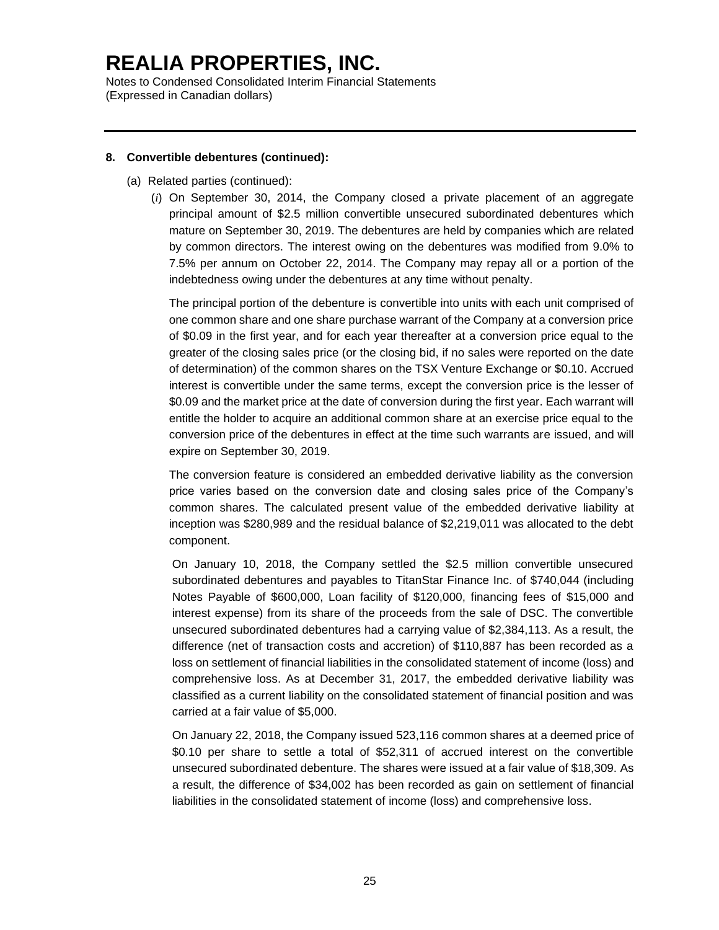Notes to Condensed Consolidated Interim Financial Statements (Expressed in Canadian dollars)

### **8. Convertible debentures (continued):**

- (a) Related parties (continued):
	- (*i*) On September 30, 2014, the Company closed a private placement of an aggregate principal amount of \$2.5 million convertible unsecured subordinated debentures which mature on September 30, 2019. The debentures are held by companies which are related by common directors. The interest owing on the debentures was modified from 9.0% to 7.5% per annum on October 22, 2014. The Company may repay all or a portion of the indebtedness owing under the debentures at any time without penalty.

The principal portion of the debenture is convertible into units with each unit comprised of one common share and one share purchase warrant of the Company at a conversion price of \$0.09 in the first year, and for each year thereafter at a conversion price equal to the greater of the closing sales price (or the closing bid, if no sales were reported on the date of determination) of the common shares on the TSX Venture Exchange or \$0.10. Accrued interest is convertible under the same terms, except the conversion price is the lesser of \$0.09 and the market price at the date of conversion during the first year. Each warrant will entitle the holder to acquire an additional common share at an exercise price equal to the conversion price of the debentures in effect at the time such warrants are issued, and will expire on September 30, 2019.

The conversion feature is considered an embedded derivative liability as the conversion price varies based on the conversion date and closing sales price of the Company's common shares. The calculated present value of the embedded derivative liability at inception was \$280,989 and the residual balance of \$2,219,011 was allocated to the debt component.

On January 10, 2018, the Company settled the \$2.5 million convertible unsecured subordinated debentures and payables to TitanStar Finance Inc. of \$740,044 (including Notes Payable of \$600,000, Loan facility of \$120,000, financing fees of \$15,000 and interest expense) from its share of the proceeds from the sale of DSC. The convertible unsecured subordinated debentures had a carrying value of \$2,384,113. As a result, the difference (net of transaction costs and accretion) of \$110,887 has been recorded as a loss on settlement of financial liabilities in the consolidated statement of income (loss) and comprehensive loss. As at December 31, 2017, the embedded derivative liability was classified as a current liability on the consolidated statement of financial position and was carried at a fair value of \$5,000.

On January 22, 2018, the Company issued 523,116 common shares at a deemed price of \$0.10 per share to settle a total of \$52,311 of accrued interest on the convertible unsecured subordinated debenture. The shares were issued at a fair value of \$18,309. As a result, the difference of \$34,002 has been recorded as gain on settlement of financial liabilities in the consolidated statement of income (loss) and comprehensive loss.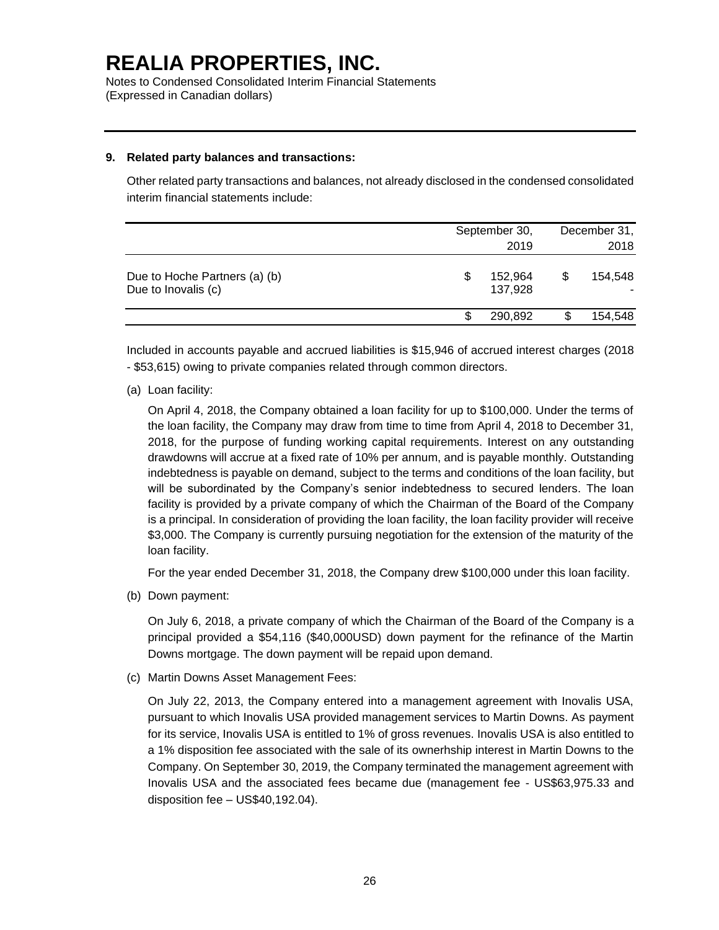Notes to Condensed Consolidated Interim Financial Statements (Expressed in Canadian dollars)

### **9. Related party balances and transactions:**

Other related party transactions and balances, not already disclosed in the condensed consolidated interim financial statements include:

|                                                      | September 30, |                    | December 31, |         |
|------------------------------------------------------|---------------|--------------------|--------------|---------|
|                                                      |               | 2019               | 2018         |         |
| Due to Hoche Partners (a) (b)<br>Due to Inovalis (c) | S             | 152,964<br>137,928 |              | 154.548 |
|                                                      |               | 290.892            | S            | 154,548 |

Included in accounts payable and accrued liabilities is \$15,946 of accrued interest charges (2018 - \$53,615) owing to private companies related through common directors.

(a) Loan facility:

On April 4, 2018, the Company obtained a loan facility for up to \$100,000. Under the terms of the loan facility, the Company may draw from time to time from April 4, 2018 to December 31, 2018, for the purpose of funding working capital requirements. Interest on any outstanding drawdowns will accrue at a fixed rate of 10% per annum, and is payable monthly. Outstanding indebtedness is payable on demand, subject to the terms and conditions of the loan facility, but will be subordinated by the Company's senior indebtedness to secured lenders. The loan facility is provided by a private company of which the Chairman of the Board of the Company is a principal. In consideration of providing the loan facility, the loan facility provider will receive \$3,000. The Company is currently pursuing negotiation for the extension of the maturity of the loan facility.

For the year ended December 31, 2018, the Company drew \$100,000 under this loan facility.

(b) Down payment:

On July 6, 2018, a private company of which the Chairman of the Board of the Company is a principal provided a \$54,116 (\$40,000USD) down payment for the refinance of the Martin Downs mortgage. The down payment will be repaid upon demand.

(c) Martin Downs Asset Management Fees:

On July 22, 2013, the Company entered into a management agreement with Inovalis USA, pursuant to which Inovalis USA provided management services to Martin Downs. As payment for its service, Inovalis USA is entitled to 1% of gross revenues. Inovalis USA is also entitled to a 1% disposition fee associated with the sale of its ownerhship interest in Martin Downs to the Company. On September 30, 2019, the Company terminated the management agreement with Inovalis USA and the associated fees became due (management fee - US\$63,975.33 and disposition fee – US\$40,192.04).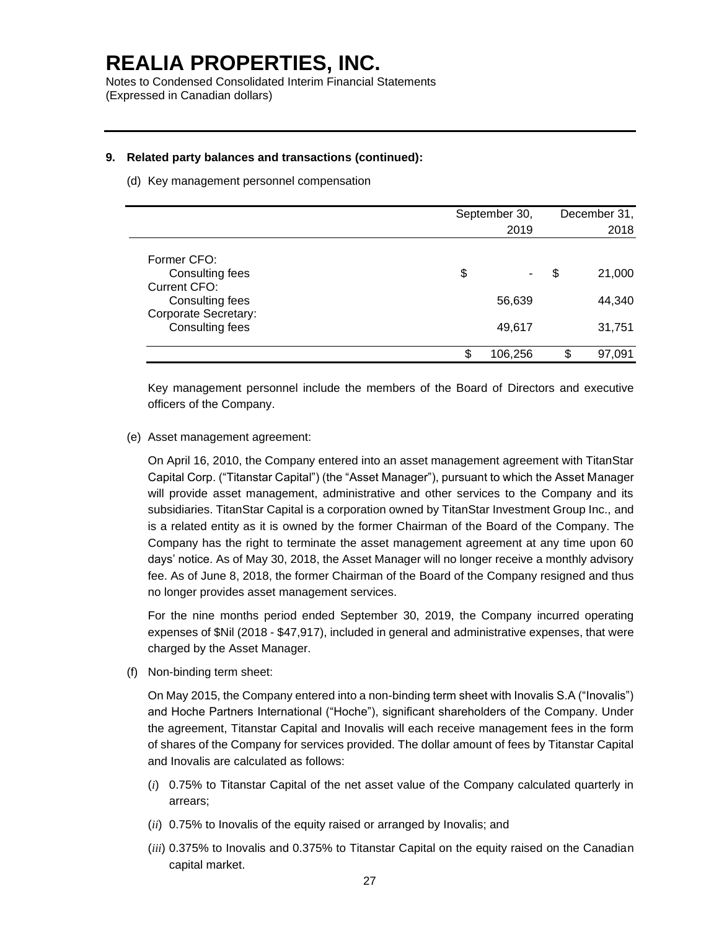Notes to Condensed Consolidated Interim Financial Statements (Expressed in Canadian dollars)

#### **9. Related party balances and transactions (continued):**

(d) Key management personnel compensation

|                                                |    | September 30,<br>2019 |    | December 31,<br>2018 |
|------------------------------------------------|----|-----------------------|----|----------------------|
|                                                |    |                       |    |                      |
| Former CFO:<br>Consulting fees<br>Current CFO: | \$ |                       | S  | 21,000               |
| Consulting fees                                |    | 56,639                |    | 44,340               |
| Corporate Secretary:<br>Consulting fees        |    | 49,617                |    | 31,751               |
|                                                | S  | 106,256               | \$ | 97,091               |

Key management personnel include the members of the Board of Directors and executive officers of the Company.

(e) Asset management agreement:

On April 16, 2010, the Company entered into an asset management agreement with TitanStar Capital Corp. ("Titanstar Capital") (the "Asset Manager"), pursuant to which the Asset Manager will provide asset management, administrative and other services to the Company and its subsidiaries. TitanStar Capital is a corporation owned by TitanStar Investment Group Inc., and is a related entity as it is owned by the former Chairman of the Board of the Company. The Company has the right to terminate the asset management agreement at any time upon 60 days' notice. As of May 30, 2018, the Asset Manager will no longer receive a monthly advisory fee. As of June 8, 2018, the former Chairman of the Board of the Company resigned and thus no longer provides asset management services.

For the nine months period ended September 30, 2019, the Company incurred operating expenses of \$Nil (2018 - \$47,917), included in general and administrative expenses, that were charged by the Asset Manager.

(f) Non-binding term sheet:

On May 2015, the Company entered into a non-binding term sheet with Inovalis S.A ("Inovalis") and Hoche Partners International ("Hoche"), significant shareholders of the Company. Under the agreement, Titanstar Capital and Inovalis will each receive management fees in the form of shares of the Company for services provided. The dollar amount of fees by Titanstar Capital and Inovalis are calculated as follows:

- (*i*) 0.75% to Titanstar Capital of the net asset value of the Company calculated quarterly in arrears;
- (*ii*) 0.75% to Inovalis of the equity raised or arranged by Inovalis; and
- (*iii*) 0.375% to Inovalis and 0.375% to Titanstar Capital on the equity raised on the Canadian capital market.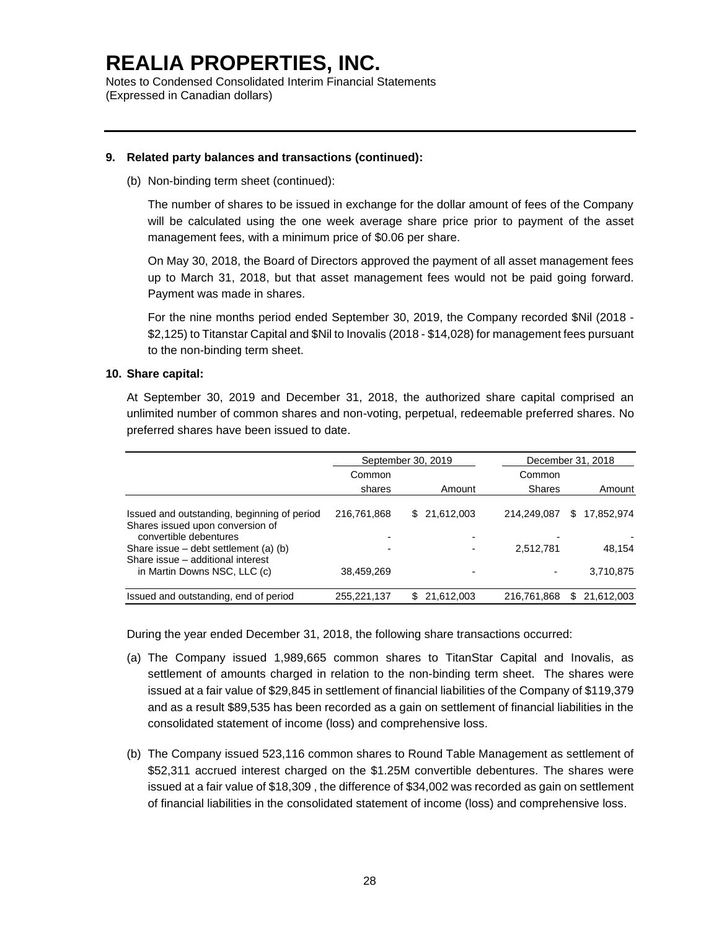Notes to Condensed Consolidated Interim Financial Statements (Expressed in Canadian dollars)

### **9. Related party balances and transactions (continued):**

(b) Non-binding term sheet (continued):

The number of shares to be issued in exchange for the dollar amount of fees of the Company will be calculated using the one week average share price prior to payment of the asset management fees, with a minimum price of \$0.06 per share.

On May 30, 2018, the Board of Directors approved the payment of all asset management fees up to March 31, 2018, but that asset management fees would not be paid going forward. Payment was made in shares.

For the nine months period ended September 30, 2019, the Company recorded \$Nil (2018 - \$2,125) to Titanstar Capital and \$Nil to Inovalis (2018 - \$14,028) for management fees pursuant to the non-binding term sheet.

#### **10. Share capital:**

At September 30, 2019 and December 31, 2018, the authorized share capital comprised an unlimited number of common shares and non-voting, perpetual, redeemable preferred shares. No preferred shares have been issued to date.

|                                                                                                        |             | September 30, 2019 |             | December 31, 2018 |
|--------------------------------------------------------------------------------------------------------|-------------|--------------------|-------------|-------------------|
|                                                                                                        | Common      |                    | Common      |                   |
|                                                                                                        | shares      | Amount             | Shares      | Amount            |
| Issued and outstanding, beginning of period<br>Shares issued upon conversion of                        | 216,761,868 | 21,612,003<br>SS.  | 214.249.087 | 17.852.974<br>S   |
| convertible debentures<br>Share issue $-$ debt settlement (a) (b)<br>Share issue - additional interest |             |                    | 2,512,781   | 48,154            |
| in Martin Downs NSC, LLC (c)                                                                           | 38,459,269  |                    |             | 3,710,875         |
| Issued and outstanding, end of period                                                                  | 255,221,137 | 21,612,003<br>\$   | 216,761,868 | 21,612,003<br>S   |

During the year ended December 31, 2018, the following share transactions occurred:

- (a) The Company issued 1,989,665 common shares to TitanStar Capital and Inovalis, as settlement of amounts charged in relation to the non-binding term sheet. The shares were issued at a fair value of \$29,845 in settlement of financial liabilities of the Company of \$119,379 and as a result \$89,535 has been recorded as a gain on settlement of financial liabilities in the consolidated statement of income (loss) and comprehensive loss.
- (b) The Company issued 523,116 common shares to Round Table Management as settlement of \$52,311 accrued interest charged on the \$1.25M convertible debentures. The shares were issued at a fair value of \$18,309 , the difference of \$34,002 was recorded as gain on settlement of financial liabilities in the consolidated statement of income (loss) and comprehensive loss.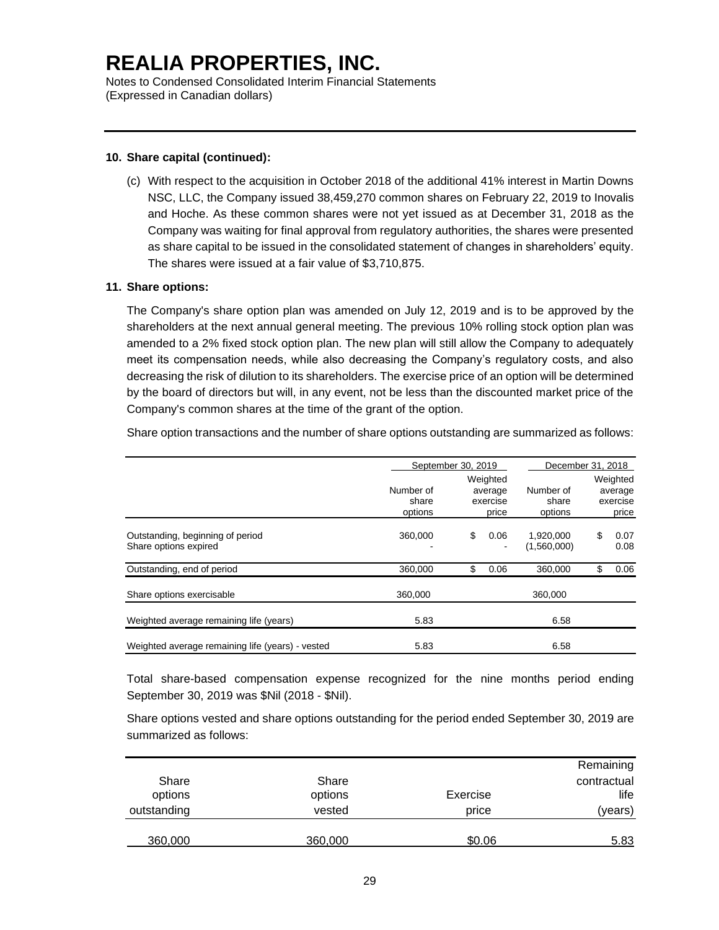Notes to Condensed Consolidated Interim Financial Statements (Expressed in Canadian dollars)

### **10. Share capital (continued):**

(c) With respect to the acquisition in October 2018 of the additional 41% interest in Martin Downs NSC, LLC, the Company issued 38,459,270 common shares on February 22, 2019 to Inovalis and Hoche. As these common shares were not yet issued as at December 31, 2018 as the Company was waiting for final approval from regulatory authorities, the shares were presented as share capital to be issued in the consolidated statement of changes in shareholders' equity. The shares were issued at a fair value of \$3,710,875.

#### **11. Share options:**

The Company's share option plan was amended on July 12, 2019 and is to be approved by the shareholders at the next annual general meeting. The previous 10% rolling stock option plan was amended to a 2% fixed stock option plan. The new plan will still allow the Company to adequately meet its compensation needs, while also decreasing the Company's regulatory costs, and also decreasing the risk of dilution to its shareholders. The exercise price of an option will be determined by the board of directors but will, in any event, not be less than the discounted market price of the Company's common shares at the time of the grant of the option.

Share option transactions and the number of share options outstanding are summarized as follows:

|                                                           |                               | September 30, 2019                       |                               |    | December 31, 2018                        |
|-----------------------------------------------------------|-------------------------------|------------------------------------------|-------------------------------|----|------------------------------------------|
|                                                           | Number of<br>share<br>options | Weighted<br>average<br>exercise<br>price | Number of<br>share<br>options |    | Weighted<br>average<br>exercise<br>price |
| Outstanding, beginning of period<br>Share options expired | 360,000                       | \$<br>0.06                               | 1,920,000<br>(1,560,000)      | S  | 0.07<br>0.08                             |
| Outstanding, end of period                                | 360.000                       | \$<br>0.06                               | 360.000                       | \$ | 0.06                                     |
| Share options exercisable                                 | 360,000                       |                                          | 360,000                       |    |                                          |
| Weighted average remaining life (years)                   | 5.83                          |                                          | 6.58                          |    |                                          |
| Weighted average remaining life (years) - vested          | 5.83                          |                                          | 6.58                          |    |                                          |

Total share-based compensation expense recognized for the nine months period ending September 30, 2019 was \$Nil (2018 - \$Nil).

Share options vested and share options outstanding for the period ended September 30, 2019 are summarized as follows:

|             |         |          | Remaining   |
|-------------|---------|----------|-------------|
| Share       | Share   |          | contractual |
| options     | options | Exercise | life        |
| outstanding | vested  | price    | (years)     |
|             |         |          |             |
| 360,000     | 360,000 | \$0.06   | 5.83        |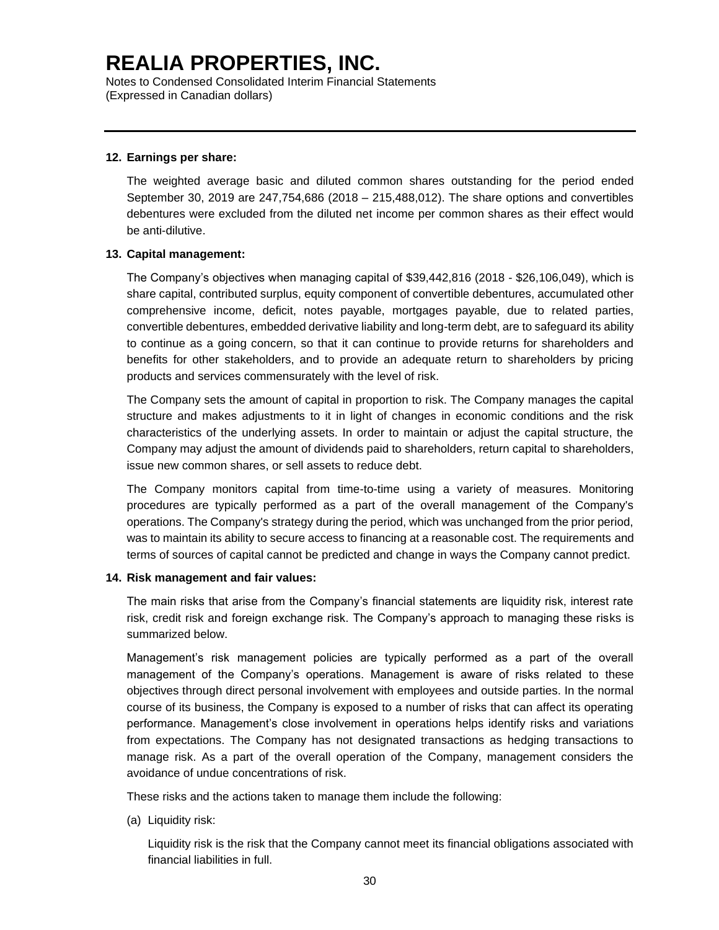Notes to Condensed Consolidated Interim Financial Statements (Expressed in Canadian dollars)

#### **12. Earnings per share:**

The weighted average basic and diluted common shares outstanding for the period ended September 30, 2019 are 247,754,686 (2018 – 215,488,012). The share options and convertibles debentures were excluded from the diluted net income per common shares as their effect would be anti-dilutive.

#### **13. Capital management:**

The Company's objectives when managing capital of \$39,442,816 (2018 - \$26,106,049), which is share capital, contributed surplus, equity component of convertible debentures, accumulated other comprehensive income, deficit, notes payable, mortgages payable, due to related parties, convertible debentures, embedded derivative liability and long-term debt, are to safeguard its ability to continue as a going concern, so that it can continue to provide returns for shareholders and benefits for other stakeholders, and to provide an adequate return to shareholders by pricing products and services commensurately with the level of risk.

The Company sets the amount of capital in proportion to risk. The Company manages the capital structure and makes adjustments to it in light of changes in economic conditions and the risk characteristics of the underlying assets. In order to maintain or adjust the capital structure, the Company may adjust the amount of dividends paid to shareholders, return capital to shareholders, issue new common shares, or sell assets to reduce debt.

The Company monitors capital from time-to-time using a variety of measures. Monitoring procedures are typically performed as a part of the overall management of the Company's operations. The Company's strategy during the period, which was unchanged from the prior period, was to maintain its ability to secure access to financing at a reasonable cost. The requirements and terms of sources of capital cannot be predicted and change in ways the Company cannot predict.

#### **14. Risk management and fair values:**

The main risks that arise from the Company's financial statements are liquidity risk, interest rate risk, credit risk and foreign exchange risk. The Company's approach to managing these risks is summarized below.

Management's risk management policies are typically performed as a part of the overall management of the Company's operations. Management is aware of risks related to these objectives through direct personal involvement with employees and outside parties. In the normal course of its business, the Company is exposed to a number of risks that can affect its operating performance. Management's close involvement in operations helps identify risks and variations from expectations. The Company has not designated transactions as hedging transactions to manage risk. As a part of the overall operation of the Company, management considers the avoidance of undue concentrations of risk.

These risks and the actions taken to manage them include the following:

(a) Liquidity risk:

Liquidity risk is the risk that the Company cannot meet its financial obligations associated with financial liabilities in full.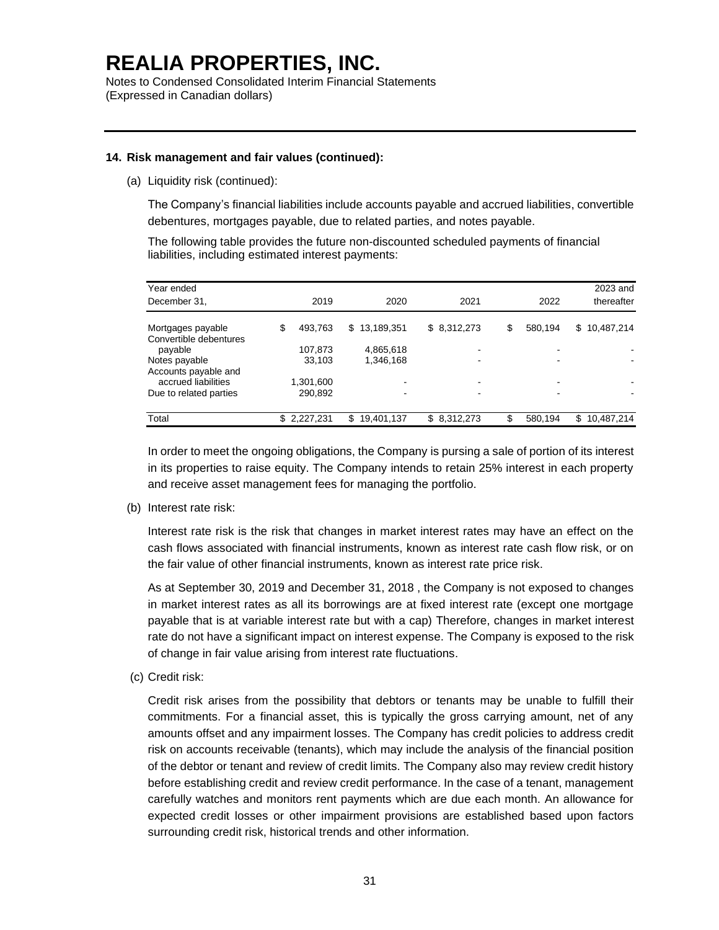Notes to Condensed Consolidated Interim Financial Statements (Expressed in Canadian dollars)

### **14. Risk management and fair values (continued):**

(a) Liquidity risk (continued):

The Company's financial liabilities include accounts payable and accrued liabilities, convertible debentures, mortgages payable, due to related parties, and notes payable.

The following table provides the future non-discounted scheduled payments of financial liabilities, including estimated interest payments:

| Year ended             |                  |                   |             |               | 2023 and          |
|------------------------|------------------|-------------------|-------------|---------------|-------------------|
| December 31,           | 2019             | 2020              | 2021        | 2022          | thereafter        |
| Mortgages payable      | 493.763<br>\$    | 13,189,351<br>\$. | \$8,312,273 | \$<br>580,194 | \$10,487,214      |
| Convertible debentures |                  |                   |             |               |                   |
| payable                | 107,873          | 4,865,618         |             |               |                   |
| Notes payable          | 33,103           | 1,346,168         |             |               |                   |
| Accounts payable and   |                  |                   |             |               |                   |
| accrued liabilities    | 1,301,600        |                   | -           |               |                   |
| Due to related parties | 290,892          |                   | -           |               |                   |
| Total                  | 2,227,231<br>\$. | 19,401,137<br>\$. | \$8,312,273 | 580,194       | 10,487,214<br>\$. |

In order to meet the ongoing obligations, the Company is pursing a sale of portion of its interest in its properties to raise equity. The Company intends to retain 25% interest in each property and receive asset management fees for managing the portfolio.

(b) Interest rate risk:

Interest rate risk is the risk that changes in market interest rates may have an effect on the cash flows associated with financial instruments, known as interest rate cash flow risk, or on the fair value of other financial instruments, known as interest rate price risk.

As at September 30, 2019 and December 31, 2018 , the Company is not exposed to changes in market interest rates as all its borrowings are at fixed interest rate (except one mortgage payable that is at variable interest rate but with a cap) Therefore, changes in market interest rate do not have a significant impact on interest expense. The Company is exposed to the risk of change in fair value arising from interest rate fluctuations.

(c) Credit risk:

Credit risk arises from the possibility that debtors or tenants may be unable to fulfill their commitments. For a financial asset, this is typically the gross carrying amount, net of any amounts offset and any impairment losses. The Company has credit policies to address credit risk on accounts receivable (tenants), which may include the analysis of the financial position of the debtor or tenant and review of credit limits. The Company also may review credit history before establishing credit and review credit performance. In the case of a tenant, management carefully watches and monitors rent payments which are due each month. An allowance for expected credit losses or other impairment provisions are established based upon factors surrounding credit risk, historical trends and other information.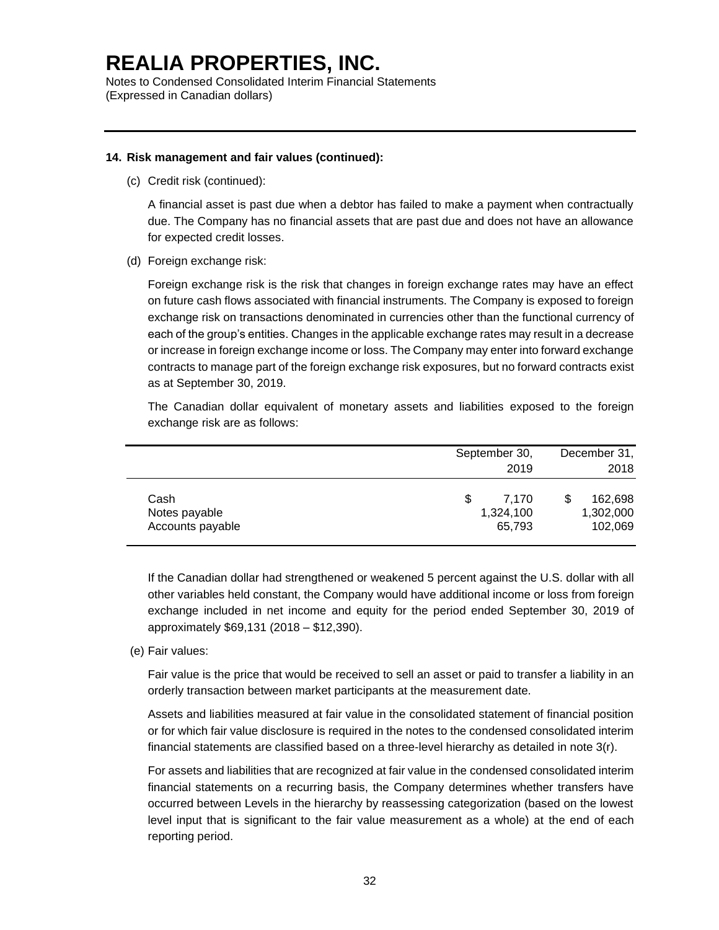Notes to Condensed Consolidated Interim Financial Statements (Expressed in Canadian dollars)

#### **14. Risk management and fair values (continued):**

(c) Credit risk (continued):

A financial asset is past due when a debtor has failed to make a payment when contractually due. The Company has no financial assets that are past due and does not have an allowance for expected credit losses.

(d) Foreign exchange risk:

Foreign exchange risk is the risk that changes in foreign exchange rates may have an effect on future cash flows associated with financial instruments. The Company is exposed to foreign exchange risk on transactions denominated in currencies other than the functional currency of each of the group's entities. Changes in the applicable exchange rates may result in a decrease or increase in foreign exchange income or loss. The Company may enter into forward exchange contracts to manage part of the foreign exchange risk exposures, but no forward contracts exist as at September 30, 2019.

The Canadian dollar equivalent of monetary assets and liabilities exposed to the foreign exchange risk are as follows:

|                                           | September 30,<br>2019             | December 31,<br>2018            |
|-------------------------------------------|-----------------------------------|---------------------------------|
| Cash<br>Notes payable<br>Accounts payable | S<br>7.170<br>1,324,100<br>65,793 | 162,698<br>1,302,000<br>102,069 |

If the Canadian dollar had strengthened or weakened 5 percent against the U.S. dollar with all other variables held constant, the Company would have additional income or loss from foreign exchange included in net income and equity for the period ended September 30, 2019 of approximately \$69,131 (2018 – \$12,390).

(e) Fair values:

Fair value is the price that would be received to sell an asset or paid to transfer a liability in an orderly transaction between market participants at the measurement date.

Assets and liabilities measured at fair value in the consolidated statement of financial position or for which fair value disclosure is required in the notes to the condensed consolidated interim financial statements are classified based on a three-level hierarchy as detailed in note 3(r).

For assets and liabilities that are recognized at fair value in the condensed consolidated interim financial statements on a recurring basis, the Company determines whether transfers have occurred between Levels in the hierarchy by reassessing categorization (based on the lowest level input that is significant to the fair value measurement as a whole) at the end of each reporting period.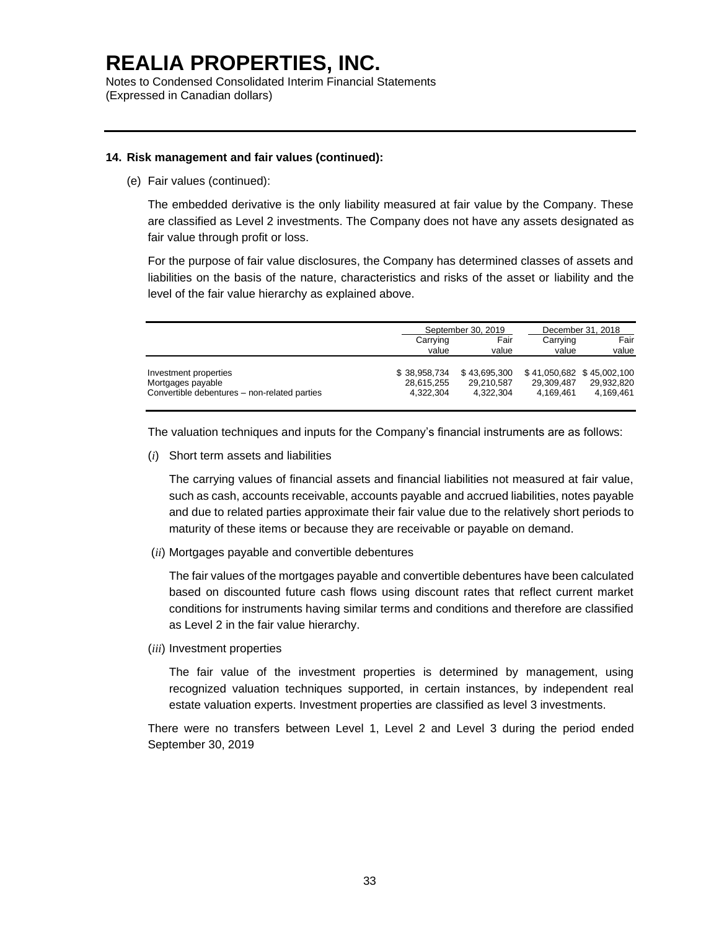Notes to Condensed Consolidated Interim Financial Statements (Expressed in Canadian dollars)

#### **14. Risk management and fair values (continued):**

(e) Fair values (continued):

The embedded derivative is the only liability measured at fair value by the Company. These are classified as Level 2 investments. The Company does not have any assets designated as fair value through profit or loss.

For the purpose of fair value disclosures, the Company has determined classes of assets and liabilities on the basis of the nature, characteristics and risks of the asset or liability and the level of the fair value hierarchy as explained above.

|                                              |                            | September 30, 2019         |            | December 31, 2018                       |
|----------------------------------------------|----------------------------|----------------------------|------------|-----------------------------------------|
|                                              | Carrying                   | Fair                       |            | Fair                                    |
|                                              | value                      | value                      | value      | value                                   |
| Investment properties<br>Mortgages payable   | \$38,958,734<br>28,615,255 | \$43,695,300<br>29.210.587 | 29.309.487 | \$41,050,682 \$45,002,100<br>29.932.820 |
| Convertible debentures - non-related parties | 4.322.304                  | 4.322.304                  | 4.169.461  | 4.169.461                               |

The valuation techniques and inputs for the Company's financial instruments are as follows:

(*i*) Short term assets and liabilities

The carrying values of financial assets and financial liabilities not measured at fair value, such as cash, accounts receivable, accounts payable and accrued liabilities, notes payable and due to related parties approximate their fair value due to the relatively short periods to maturity of these items or because they are receivable or payable on demand.

(*ii*) Mortgages payable and convertible debentures

The fair values of the mortgages payable and convertible debentures have been calculated based on discounted future cash flows using discount rates that reflect current market conditions for instruments having similar terms and conditions and therefore are classified as Level 2 in the fair value hierarchy.

(*iii*) Investment properties

The fair value of the investment properties is determined by management, using recognized valuation techniques supported, in certain instances, by independent real estate valuation experts. Investment properties are classified as level 3 investments.

There were no transfers between Level 1, Level 2 and Level 3 during the period ended September 30, 2019